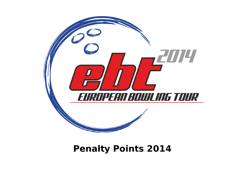

# **Penalty Points 2014**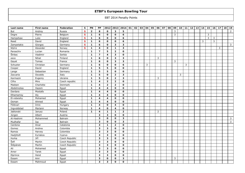| Last name   | First name | Federation     | $\mathbf{s}$ | PN             | PP                      |                | 2012 2013 2014          |                         | 01 | 02 | 03   04 | 05 | 06             | 07 | 08 | 09 | 10 <sup>1</sup> | 11 | 12 | 13 | 14 | 15             | 16 | 17 | 18 | $19$         |
|-------------|------------|----------------|--------------|----------------|-------------------------|----------------|-------------------------|-------------------------|----|----|---------|----|----------------|----|----|----|-----------------|----|----|----|----|----------------|----|----|----|--------------|
| But         | Andrey     | Russia         | s            | $\overline{2}$ | 8                       | $\mathbf{o}$   | $\mathbf{3}$            | 5                       |    |    |         |    |                |    |    | 3  |                 |    |    |    |    |                |    |    |    | 2            |
| Degre       | Pierre     | Belgium        | $\mathbf{s}$ | $\mathbf{1}$   | 6                       | $\mathbf{o}$   | $\mathbf 0$             | 6                       |    |    |         |    |                |    |    | 3  |                 |    |    |    |    | $\overline{3}$ |    |    |    |              |
| Hampshaw    | Luke       | England        | S            | $\mathbf{1}$   | $\epsilon$              | 0              | $\mathbf 0$             | 6                       |    |    |         |    |                |    |    |    |                 |    |    |    |    | 3              | 3  |    |    |              |
| Reed        | David      | England        | $\mathbf{s}$ | $\mathbf{1}$   | $\epsilon$              | 0              | $\mathbf 0$             | 6                       |    |    |         |    |                |    |    |    |                 |    |    |    | 3  |                | 3  |    |    |              |
| Zampetakis  | Giorgos    | Germany        | $\mathbf{s}$ | $\mathbf{1}$   | 6                       | 0              | 3                       | 3                       |    |    |         |    |                |    |    |    |                 |    |    |    |    |                |    |    |    | $\mathbf{3}$ |
| Myhre       | Alexander  | Norway         | S            | $\mathbf{1}$   | $\overline{4}$          | $\mathbf{o}$   | $\mathbf{1}$            | $\overline{\mathbf{3}}$ |    |    |         |    |                |    |    |    |                 |    |    |    |    |                |    | 3  |    |              |
| Paraschiv   | Lucian     | Romania        |              | $\mathbf{1}$   | $\overline{7}$          | 5              | $\overline{2}$          | $\mathbf{o}$            |    |    |         |    |                |    |    |    |                 |    |    |    |    |                |    |    |    |              |
| Štrbac      | Vladimir   | Serbia         |              | $\mathbf{1}$   | $\overline{7}$          | 4              | $\overline{\mathbf{3}}$ | $\mathbf 0$             |    |    |         |    |                |    |    |    |                 |    |    |    |    |                |    |    |    |              |
| eece        | Nihat      | Finland        |              | $\mathbf{1}$   | $\epsilon$              | $\mathbf{o}$   | 3                       | $\mathbf{3}$            |    |    |         |    | 3              |    |    |    |                 |    |    |    |    |                |    |    |    |              |
| Gayet       | Tomas      | France         |              | $\mathbf{1}$   | 6                       | 0              | 3                       | 3                       |    |    |         |    |                |    |    | 3  |                 |    |    |    |    |                |    |    |    |              |
| Schuster    | Christian  | Germany        |              | $\mathbf{1}$   | $\boldsymbol{6}$        | $\mathbf{o}$   | $\mathbf{o}$            | $\boldsymbol{6}$        |    |    | 3       |    |                |    |    |    |                 | 3  |    |    |    |                |    |    |    |              |
| Cooper      | David      | England        |              | $\mathbf{1}$   | 5                       | 5              | $\mathbf{o}$            | $\mathbf 0$             |    |    |         |    |                |    |    |    |                 |    |    |    |    |                |    |    |    |              |
| Lange       | Sebastian  | Germany        |              | $\mathbf{1}$   | 5                       | 5              | $\mathbf{o}$            | $\mathbf{o}$            |    |    |         |    |                |    |    |    |                 |    |    |    |    |                |    |    |    |              |
| Zaccaria    | Osvaldo    | Italy          |              | $\mathbf{1}$   | 5                       | $\mathbf{o}$   | $\overline{2}$          | $\mathbf{3}$            |    |    |         |    |                |    |    |    | 3               |    |    |    |    |                |    |    |    |              |
| Karmazin    | Evgeniy    | Ukraine        |              | $\mathbf{1}$   | 5                       | $\mathbf{o}$   | $\overline{2}$          | $\mathbf{3}$            |    |    |         |    | 3              |    |    |    |                 |    |    |    |    |                |    |    |    |              |
| Cifra       | Miro       | Czech republic |              | $\mathbf{1}$   | $\overline{4}$          | $\overline{2}$ | $\overline{2}$          | $\mathbf{o}$            |    |    |         |    |                |    |    |    |                 |    |    |    |    |                |    |    |    |              |
| Madsen      | Charlotte  | Denmark        |              | $\mathbf{1}$   | $\overline{4}$          | $\overline{2}$ | $\overline{2}$          | $\mathbf{o}$            |    |    |         |    |                |    |    |    |                 |    |    |    |    |                |    |    |    |              |
| Abdelmotea  | Hazem      | Egypt          |              | $\mathbf{1}$   | $\overline{4}$          | 4              | $\mathbf 0$             | $\mathbf{o}$            |    |    |         |    |                |    |    |    |                 |    |    |    |    |                |    |    |    |              |
| Dardara     | Mostafa    | Egypt          |              | $\mathbf{1}$   | $\overline{4}$          | $\overline{4}$ | $\mathbf{o}$            | $\mathbf 0$             |    |    |         |    |                |    |    |    |                 |    |    |    |    |                |    |    |    |              |
| Elhamamsy   | Aly        | Egypt          |              | $\mathbf{1}$   | $\overline{4}$          | 4              | $\mathbf 0$             | $\mathbf{o}$            |    |    |         |    |                |    |    |    |                 |    |    |    |    |                |    |    |    |              |
| El-rebeishy | Mohamed    | Egypt          |              | $\mathbf{1}$   | $\overline{4}$          | 4              | $\mathbf{o}$            | $\mathbf{o}$            |    |    |         |    |                |    |    |    |                 |    |    |    |    |                |    |    |    |              |
| Osman       | Ahmed      | Egypt          |              | $\mathbf{1}$   | $\overline{4}$          | 4              | $\Omega$                | $\mathbf{o}$            |    |    |         |    |                |    |    |    |                 |    |    |    |    |                |    |    |    |              |
| Földvari    | Imre       | Hungary        |              | $\mathbf{1}$   | $\overline{4}$          | 0              | $\overline{4}$          | $\mathbf 0$             |    |    |         |    |                |    |    |    |                 |    |    |    |    |                |    |    |    |              |
| Ingvoldstad | Mariann    | Norway         |              | $\mathbf{1}$   | $\overline{4}$          | $\mathbf{o}$   | 4                       | $\mathbf{o}$            |    |    |         |    |                |    |    |    |                 |    |    |    |    |                |    |    |    |              |
| Jablonski   | Janusz     | Poland         |              | $\mathbf{1}$   | $\overline{4}$          | $\mathbf{1}$   | $\mathbf{1}$            | $\overline{2}$          |    |    |         |    | $\overline{2}$ |    |    |    |                 |    |    |    |    |                |    |    |    |              |
| Jürgen      | Albert     | Austria        |              |                | $\mathbf{3}$            | 3              | $\mathbf 0$             | $\mathbf 0$             |    |    |         |    |                |    |    |    |                 |    |    |    |    |                |    |    |    |              |
| Al-Hashimi  | Mohammed   | Bahrain        |              |                | $\mathbf{3}$            | 0              | 0                       | 3                       |    |    |         |    |                |    |    |    |                 |    |    |    |    |                |    |    |    | 3            |
| Mudhafar    | Isa        | Bahrain        |              |                | $\overline{\mathbf{3}}$ | $\mathbf{o}$   | $\mathbf{o}$            | $\overline{\mathbf{3}}$ |    |    |         |    |                |    |    |    |                 |    |    |    |    |                |    |    |    | $\mathbf{3}$ |
| Cardona     | Alvar      | Catalonia      |              |                | $\mathbf{3}$            | 1              | $\overline{2}$          | $\mathbf{o}$            |    |    |         |    |                |    |    |    |                 |    |    |    |    |                |    |    |    |              |
| Gomez       | Andres     | Colombia       |              |                | $\mathbf{3}$            | 3              | $\Omega$                | $\mathbf 0$             |    |    |         |    |                |    |    |    |                 |    |    |    |    |                |    |    |    |              |
| Ramos       | Harvey     | Colombia       |              |                | $\mathbf{3}$            | 3              | $\mathbf{o}$            | $\mathbf 0$             |    |    |         |    |                |    |    |    |                 |    |    |    |    |                |    |    |    |              |
| Hadjittofi  | Kyriakos   | Cyprus         |              |                | $\mathbf{3}$            | 3              | $\mathbf{o}$            | $\mathbf{o}$            |    |    |         |    |                |    |    |    |                 |    |    |    |    |                |    |    |    |              |
| Hurka       | Jiří       | Czech Republic |              |                | $\overline{\mathbf{3}}$ | $\mathbf{3}$   | $\Omega$                | $\mathbf{o}$            |    |    |         |    |                |    |    |    |                 |    |    |    |    |                |    |    |    |              |
| Šefl        | Martin     | Czech Republic |              |                | $\mathbf{3}$            | $\mathbf{3}$   | $\mathbf{o}$            | $\mathbf 0$             |    |    |         |    |                |    |    |    |                 |    |    |    |    |                |    |    |    |              |
| Štěpánek    | Martin     | Czech Republic |              |                | $\mathbf{3}$            | $\mathbf{3}$   | $\mathbf 0$             | $\mathbf 0$             |    |    |         |    |                |    |    |    |                 |    |    |    |    |                |    |    |    |              |
| Ali         | Mohamed    | Egypt          |              |                | $\overline{\mathbf{3}}$ | $\mathbf{3}$   | $\Omega$                | $\mathbf{o}$            |    |    |         |    |                |    |    |    |                 |    |    |    |    |                |    |    |    |              |
| Amer        | Tarek      | Egypt          |              |                | $\mathbf{3}$            | 3              | $\mathbf{o}$            | $\mathbf 0$             |    |    |         |    |                |    |    |    |                 |    |    |    |    |                |    |    |    |              |
| Elprince    | Hend       | Egypt          |              |                | $\mathbf{3}$            | 3              | $\mathbf{o}$            | $\mathbf{o}$            |    |    |         |    |                |    |    |    |                 |    |    |    |    |                |    |    |    |              |
| Essam       | Amr        | Egypt          |              |                | $\overline{\mathbf{3}}$ | 0              | $\mathbf 0$             | $\overline{\mathbf{3}}$ |    |    |         |    |                |    |    | 3  |                 |    |    |    |    |                |    |    |    |              |
| Essam       | Mahmoud    | Egypt          |              |                | 3                       | 3              | $\Omega$                | $\mathbf{o}$            |    |    |         |    |                |    |    |    |                 |    |    |    |    |                |    |    |    |              |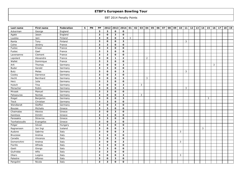| Last name     | First name | Federation | $\mathbf{s}$ | PN | PP                      | 2012                    | 2013                    | 2014           | 01 | 02 | 03 | 04             | 05 | 06 | 07 | 08 | 09 | 10 | 11 | 12 | 13 | 14 | 15           | 16 | 17 | 18 | 19 |
|---------------|------------|------------|--------------|----|-------------------------|-------------------------|-------------------------|----------------|----|----|----|----------------|----|----|----|----|----|----|----|----|----|----|--------------|----|----|----|----|
| Ackerman      | George     | England    |              |    | $\overline{\mathbf{3}}$ | $\mathbf{3}$            | $\mathbf{o}$            | $\mathbf{o}$   |    |    |    |                |    |    |    |    |    |    |    |    |    |    |              |    |    |    |    |
| Agate         | Jason      | England    |              |    | $\overline{\mathbf{3}}$ | $\mathbf{o}$            | $\overline{\mathbf{3}}$ | $\mathbf{o}$   |    |    |    |                |    |    |    |    |    |    |    |    |    |    |              |    |    |    |    |
| Luukka        | Jani       | Finland    |              |    | $\overline{\mathbf{3}}$ | $\mathbf{o}$            | $\mathbf 0$             | $\mathbf{3}$   | 3  |    |    |                |    |    |    |    |    |    |    |    |    |    |              |    |    |    |    |
| Ranta         | Tony       | Finland    |              |    | $\mathbf{3}$            | $\mathbf{o}$            | $\Omega$                | $\mathbf{3}$   |    |    |    |                |    |    |    |    |    |    | 3  |    |    |    |              |    |    |    |    |
| Colne         | Jérémy     | France     |              |    | $\overline{\mathbf{3}}$ | $\mathbf{3}$            | $\mathbf{o}$            | $\mathbf 0$    |    |    |    |                |    |    |    |    |    |    |    |    |    |    |              |    |    |    |    |
| Fustec        | Erwan      | France     |              |    | $\overline{\mathbf{3}}$ | $\mathbf{3}$            | $\mathbf{o}$            | 0              |    |    |    |                |    |    |    |    |    |    |    |    |    |    |              |    |    |    |    |
| Fustec        | Gael       | France     |              |    | $\overline{\mathbf{3}}$ | $\overline{\mathbf{3}}$ | $\Omega$                | $\mathbf{o}$   |    |    |    |                |    |    |    |    |    |    |    |    |    |    |              |    |    |    |    |
| Laversenne    | Clement    | France     |              |    | $\overline{\mathbf{3}}$ | $\overline{\mathbf{3}}$ | $\mathbf{o}$            | $\mathbf 0$    |    |    |    |                |    |    |    |    |    |    |    |    |    |    |              |    |    |    |    |
| Lepolard      | Alexandre  | France     |              |    | $\mathbf{3}$            | $\mathbf 0$             | $\mathbf{1}$            | $\overline{2}$ |    |    |    | $\overline{2}$ |    |    |    |    |    |    |    |    |    |    |              |    |    |    |    |
| Wallet        | Dominique  | France     |              |    | $\overline{\mathbf{3}}$ | 3                       | $\mathbf 0$             | $\mathbf{o}$   |    |    |    |                |    |    |    |    |    |    |    |    |    |    |              |    |    |    |    |
| Arlt          | Thomas     | Germany    |              |    | $\overline{\mathbf{3}}$ | $\mathbf{o}$            | $\mathbf{o}$            | $\mathbf{3}$   |    |    |    |                |    |    |    |    |    |    |    |    |    |    |              | 3  |    |    |    |
| <b>Buder</b>  | Gerald     | Germany    |              |    | $\mathbf{3}$            | $\mathbf{3}$            | $\Omega$                | $\mathbf{o}$   |    |    |    |                |    |    |    |    |    |    |    |    |    |    |              |    |    |    |    |
| <b>Butz</b>   | Melas      | Germany    |              |    | $\overline{\mathbf{3}}$ | $\mathbf{o}$            | $\mathbf{o}$            | $\mathbf{3}$   |    |    |    |                |    |    |    |    |    |    | 3  |    |    |    |              |    |    |    |    |
| Cooley        | Darrence   | Germany    |              |    | $\mathbf{3}$            | $\mathbf{o}$            | 3                       | 0              |    |    |    |                |    |    |    |    |    |    |    |    |    |    |              |    |    |    |    |
| Hecht         | Bernhard   | Germany    |              |    | $\overline{\mathbf{3}}$ | $\mathbf{o}$            | $\mathbf 0$             | $\mathbf{3}$   |    |    |    | 3              |    |    |    |    |    |    |    |    |    |    |              |    |    |    |    |
| Herz          | Julia      | Germany    |              |    | $\overline{\mathbf{3}}$ | $\mathbf{3}$            | $\mathbf{o}$            | $\mathbf 0$    |    |    |    |                |    |    |    |    |    |    |    |    |    |    |              |    |    |    |    |
| Hulsch        | Tina       | Germany    |              |    | $\overline{\mathbf{3}}$ | 0                       | $\mathbf{o}$            | $\mathbf{3}$   |    |    | 3  |                |    |    |    |    |    |    |    |    |    |    |              |    |    |    |    |
| Menacher      | Robin      | Germany    |              |    | $\overline{\mathbf{3}}$ | $\mathbf{o}$            | $\Omega$                | $\mathbf{3}$   |    |    |    |                |    |    |    |    |    |    | 3  |    |    |    |              |    |    |    |    |
| Mrosek        | Manuel     | Germany    |              |    | $\overline{\mathbf{3}}$ | $\mathbf{3}$            | $\mathbf{o}$            | $\mathbf 0$    |    |    |    |                |    |    |    |    |    |    |    |    |    |    |              |    |    |    |    |
| Patsaouras    | Nontas     | Germany    |              |    | $\mathbf{3}$            | $\Omega$                | $\mathbf 0$             | $\mathbf{3}$   |    |    | 3  |                |    |    |    |    |    |    |    |    |    |    |              |    |    |    |    |
| Riegel        | Benjamin   | Germany    |              |    | $\overline{\mathbf{3}}$ | $\mathbf{o}$            | $\mathbf 0$             | $\mathbf{3}$   |    |    |    |                |    |    |    |    |    |    |    |    |    |    | $\mathbf{3}$ |    |    |    |    |
| Tieck         | Christian  | Germany    |              |    | $\overline{\mathbf{3}}$ | $\mathbf{3}$            | $\mathbf{o}$            | $\mathbf 0$    |    |    |    |                |    |    |    |    |    |    |    |    |    |    |              |    |    |    |    |
| Wendlandt     | Steffen    | Germany    |              |    | $\mathbf{3}$            | $\mathbf{o}$            | $\mathbf{3}$            | $\mathbf{o}$   |    |    |    |                |    |    |    |    |    |    |    |    |    |    |              |    |    |    |    |
| <b>Bouzas</b> | Michalis   | Greece     |              |    | $\overline{\mathbf{3}}$ | $\mathbf{3}$            | $\mathbf{o}$            | $\mathbf{o}$   |    |    |    |                |    |    |    |    |    |    |    |    |    |    |              |    |    |    |    |
| Chaimalas     | Alexios    | Greece     |              |    | $\mathbf{3}$            | 0                       | 3                       | 0              |    |    |    |                |    |    |    |    |    |    |    |    |    |    |              |    |    |    |    |
| Karetsos      | Dimitri    | Greece     |              |    | $\mathbf{3}$            | 3                       | $\mathbf 0$             | $\mathbf 0$    |    |    |    |                |    |    |    |    |    |    |    |    |    |    |              |    |    |    |    |
| Parasakis     | Stravros   | Greece     |              |    | $\overline{\mathbf{3}}$ | $\mathbf{3}$            | $\mathbf{o}$            | 0              |    |    |    |                |    |    |    |    |    |    |    |    |    |    |              |    |    |    |    |
| Tsorbatzoudis | Evangelos  | Greece     |              |    | $\mathbf{3}$            | 0                       | $\mathbf{3}$            | 0              |    |    |    |                |    |    |    |    |    |    |    |    |    |    |              |    |    |    |    |
| Polgar        | Istvan     | Hungary    |              |    | 3                       | 3                       | $\Omega$                | $\mathbf{o}$   |    |    |    |                |    |    |    |    |    |    |    |    |    |    |              |    |    |    |    |
| Ragnarsson    | Jon Ingi   | Iceland    |              |    | $\overline{\mathbf{3}}$ | 0                       | $\mathbf{o}$            | $\mathbf{3}$   |    |    |    |                |    |    |    |    |    |    |    |    |    | 3  |              |    |    |    |    |
| Audone        | Sabrina    | Italy      |              |    | $\overline{\mathbf{3}}$ | $\mathbf 0$             | $\mathbf{o}$            | $\mathbf{3}$   |    |    |    |                |    |    |    |    |    | 3  |    |    |    |    |              |    |    |    |    |
| Bruzzese      | Andrea     | Italy      |              |    | $\mathbf{3}$            | 3                       | $\mathbf 0$             | $\mathbf{o}$   |    |    |    |                |    |    |    |    |    |    |    |    |    |    |              |    |    |    |    |
| Caradio       | Vincenzo   | Italy      |              |    | $\overline{\mathbf{3}}$ | 0                       | $\mathbf{3}$            | $\mathbf 0$    |    |    |    |                |    |    |    |    |    |    |    |    |    |    |              |    |    |    |    |
| Domenichini   | Andrea     | Italy      |              |    | $\mathbf{3}$            | $\mathbf{o}$            | $\mathbf{o}$            | $\mathbf{3}$   |    |    |    |                |    |    |    |    |    | 3  |    |    |    |    |              |    |    |    |    |
| Fiorillo      | Alfredo    | Italy      |              |    | $\overline{\mathbf{3}}$ | 3                       | $\mathbf{o}$            | $\mathbf 0$    |    |    |    |                |    |    |    |    |    |    |    |    |    |    |              |    |    |    |    |
| Gasti         | Giorgo     | Italy      |              |    | $\mathbf{3}$            | $\mathbf{3}$            | $\Omega$                | 0              |    |    |    |                |    |    |    |    |    |    |    |    |    |    |              |    |    |    |    |
| Giufridda     | Alfio      | Italy      |              |    | $\overline{\mathbf{3}}$ | $\mathbf{3}$            | $\mathbf 0$             | $\mathbf 0$    |    |    |    |                |    |    |    |    |    |    |    |    |    |    |              |    |    |    |    |
| Oliaro        | Luigino    | Italy      |              |    | $\mathbf{3}$            | $\mathbf{o}$            | $\mathbf{o}$            | $\mathbf{3}$   |    |    |    |                |    |    |    |    |    | 3  |    |    |    |    |              |    |    |    |    |
| Palestre      | Alfonso    | Italy      |              |    | $\overline{\mathbf{3}}$ | $\mathbf{o}$            | $\overline{\mathbf{3}}$ | $\mathbf{o}$   |    |    |    |                |    |    |    |    |    |    |    |    |    |    |              |    |    |    |    |
| Pangolini     | Nicola     | Italy      |              |    | 3                       | 3                       | $\mathbf 0$             | $\mathbf{o}$   |    |    |    |                |    |    |    |    |    |    |    |    |    |    |              |    |    |    |    |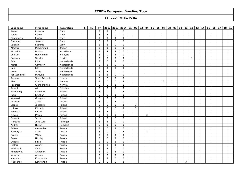| Last name    | First name    | Federation  | $\mathbf{s}$ | PN | PP                      | 2012         | 2013                    | 2014                    | 01 | 02           | 03 | 04 | 05 | 06 | 07 | 08 | 09 | 10 | 11 | 12 | 13 | 14 | 15 | 16 | 17 | 18 | 19 |
|--------------|---------------|-------------|--------------|----|-------------------------|--------------|-------------------------|-------------------------|----|--------------|----|----|----|----|----|----|----|----|----|----|----|----|----|----|----|----|----|
| Pastori      | Roberto       | Italy       |              |    | $\overline{\mathbf{3}}$ | $\mathbf{3}$ | $\mathbf{o}$            | 0                       |    |              |    |    |    |    |    |    |    |    |    |    |    |    |    |    |    |    |    |
| Polato       | Marco         | Italy       |              |    | $\overline{\mathbf{3}}$ | $\mathbf{3}$ | $\mathbf{o}$            | $\mathbf{o}$            |    |              |    |    |    |    |    |    |    |    |    |    |    |    |    |    |    |    |    |
| Santangelo   | Franco        | Italy       |              |    | $\overline{\mathbf{3}}$ | $\mathbf{o}$ | 3                       | 0                       |    |              |    |    |    |    |    |    |    |    |    |    |    |    |    |    |    |    |    |
| Tuccimei     | Saverio       | Italy       |              |    | $\mathbf{3}$            | 3            | $\mathbf{o}$            | 0                       |    |              |    |    |    |    |    |    |    |    |    |    |    |    |    |    |    |    |    |
| Valentini    | Stefania      | Italy       |              |    | $\overline{\mathbf{3}}$ | $\mathbf{3}$ | $\mathbf{o}$            | $\mathbf 0$             |    |              |    |    |    |    |    |    |    |    |    |    |    |    |    |    |    |    |    |
| Almasri      | Mohammad      | Jordan      |              |    | $\mathbf{3}$            | $\mathbf{3}$ | $\mathbf{o}$            | 0                       |    |              |    |    |    |    |    |    |    |    |    |    |    |    |    |    |    |    |    |
| Kuzovkin     | Dmitry        | Kazakhstan  |              |    | $\overline{3}$          | 1            | $\overline{2}$          | $\mathbf{o}$            |    |              |    |    |    |    |    |    |    |    |    |    |    |    |    |    |    |    |    |
| Che Din      | Nur Hanifah   | Malaysia    |              |    | $\overline{\mathbf{3}}$ | $\mathbf 0$  | $\overline{\mathbf{3}}$ | $\mathbf 0$             |    |              |    |    |    |    |    |    |    |    |    |    |    |    |    |    |    |    |    |
| Gongora      | Sandra        | Mexico      |              |    | 3                       | $\mathbf{o}$ | $\mathbf 0$             | $\mathbf{3}$            |    |              |    |    |    |    |    |    |    |    |    | 3  |    |    |    |    |    |    |    |
| <b>Buis</b>  | Frits         | Netherlands |              |    | $\overline{\mathbf{3}}$ | $\mathbf{o}$ | 3                       | $\mathbf{o}$            |    |              |    |    |    |    |    |    |    |    |    |    |    |    |    |    |    |    |    |
| Klercq       | Cameron       | Netherlands |              |    | $\overline{\mathbf{3}}$ | $\mathbf{3}$ | $\mathbf{o}$            | $\mathbf{o}$            |    |              |    |    |    |    |    |    |    |    |    |    |    |    |    |    |    |    |    |
| Nap          | Rik           | Netherlands |              |    | $\mathbf 3$             | $\mathbf{3}$ | $\Omega$                | $\mathbf{o}$            |    |              |    |    |    |    |    |    |    |    |    |    |    |    |    |    |    |    |    |
| Ooms         | Jordy         | Netherlands |              |    | $\overline{\mathbf{3}}$ | $\mathbf{3}$ | $\mathbf{o}$            | $\mathbf{o}$            |    |              |    |    |    |    |    |    |    |    |    |    |    |    |    |    |    |    |    |
| van Zandwijk | Dwayne        | Netherlands |              |    | $\mathbf{3}$            | 3            | $\mathbf{o}$            | 0                       |    |              |    |    |    |    |    |    |    |    |    |    |    |    |    |    |    |    |    |
| Adewole      | Suraj Ademola | Nigeria     |              |    | $\mathbf{3}$            | $\mathbf{o}$ | 3                       | 0                       |    |              |    |    |    |    |    |    |    |    |    |    |    |    |    |    |    |    |    |
| Aker         | Christer      | Norway      |              |    | $\overline{\mathbf{3}}$ | 0            | $\mathbf{o}$            | $\mathbf{3}$            |    |              |    |    |    |    | 3  |    |    |    |    |    |    |    |    |    |    |    |    |
| Pedersen     | Glenn Morten  | Norway      |              |    | $\mathbf{3}$            | $\mathbf{o}$ | $\mathbf{3}$            | $\mathbf 0$             |    |              |    |    |    |    |    |    |    |    |    |    |    |    |    |    |    |    |    |
| Rashid       | Ali           | Pakistan    |              |    | 3                       | $\mathbf{o}$ | 3                       | $\mathbf{o}$            |    |              |    |    |    |    |    |    |    |    |    |    |    |    |    |    |    |    |    |
| Bartłomiej   | Cywiński      | Poland      |              |    | $\overline{\mathbf{3}}$ | 0            | $\mathbf{o}$            | $\mathbf{3}$            |    | $\mathbf{3}$ |    |    |    |    |    |    |    |    |    |    |    |    |    |    |    |    |    |
| Jasiak       | Krystian      | Poland      |              |    | $\mathbf{3}$            | 0            | $\mathbf{3}$            | 0                       |    |              |    |    |    |    |    |    |    |    |    |    |    |    |    |    |    |    |    |
| Kępiński     | Grzegorz      | Poland      |              |    | $\overline{\mathbf{3}}$ | 3            | $\mathbf 0$             | $\mathbf{o}$            |    |              |    |    |    |    |    |    |    |    |    |    |    |    |    |    |    |    |    |
| Kucinski     | Jacek         | Poland      |              |    | $\overline{\mathbf{3}}$ | 0            | $\mathbf{3}$            | $\mathbf 0$             |    |              |    |    |    |    |    |    |    |    |    |    |    |    |    |    |    |    |    |
| Leszek       | Juszczyk      | Poland      |              |    | $\mathbf{3}$            | $\mathbf 0$  | $\Omega$                | $\overline{\mathbf{3}}$ |    | 3            |    |    |    |    |    |    |    |    |    |    |    |    |    |    |    |    |    |
| Łukasz       | Michalik      | Poland      |              |    | $\overline{\mathbf{3}}$ | $\mathbf 0$  | $\mathbf{o}$            | $\mathbf{3}$            |    | $\mathbf{3}$ |    |    |    |    |    |    |    |    |    |    |    |    |    |    |    |    |    |
| Pabiniak     | Patryk        | Poland      |              |    | $\mathbf{3}$            | $\mathbf{3}$ | $\mathbf{o}$            | 0                       |    |              |    |    |    |    |    |    |    |    |    |    |    |    |    |    |    |    |    |
| Rybicki      | Marek         | Poland      |              |    | 3                       | $\mathbf{o}$ | $\mathbf 0$             | $\mathbf{3}$            |    |              |    | 3  |    |    |    |    |    |    |    |    |    |    |    |    |    |    |    |
| Żórawik      | Jerzy         | Poland      |              |    | $\overline{\mathbf{3}}$ | $\mathbf{3}$ | $\mathbf{o}$            | 0                       |    |              |    |    |    |    |    |    |    |    |    |    |    |    |    |    |    |    |    |
| Marques      | José Luiz     | Portugal    |              |    | $\mathbf{3}$            | $\mathbf{3}$ | $\mathbf{o}$            | 0                       |    |              |    |    |    |    |    |    |    |    |    |    |    |    |    |    |    |    |    |
| Andrei       | Nistor        | Romania     |              |    | 3                       | $\mathbf{3}$ | $\mathbf 0$             | $\mathbf{o}$            |    |              |    |    |    |    |    |    |    |    |    |    |    |    |    |    |    |    |    |
| Belkov       | Alexander     | Russia      |              |    | $\overline{\mathbf{3}}$ | 0            | $\mathbf{3}$            | $\mathbf 0$             |    |              |    |    |    |    |    |    |    |    |    |    |    |    |    |    |    |    |    |
| Egozaryan    | Artur         | Russia      |              |    | $\overline{\mathbf{3}}$ | $\mathbf{o}$ | $\mathbf{o}$            | $\mathbf{3}$            |    |              |    | 3  |    |    |    |    |    |    |    |    |    |    |    |    |    |    |    |
| Grunin       | Vitaly        | Russia      |              |    | $\mathbf{3}$            | $\mathbf{o}$ | 3                       | $\mathbf{o}$            |    |              |    |    |    |    |    |    |    |    |    |    |    |    |    |    |    |    |    |
| Gusev        | Nikolay       | Russia      |              |    | $\overline{\mathbf{3}}$ | 0            | $\mathbf{3}$            | 0                       |    |              |    |    |    |    |    |    |    |    |    |    |    |    |    |    |    |    |    |
| Guseva       | Luisa         | Russia      |              |    | $\mathbf{3}$            | $\mathbf 0$  | $\mathbf{3}$            | $\mathbf{o}$            |    |              |    |    |    |    |    |    |    |    |    |    |    |    |    |    |    |    |    |
| Inglezi      | Alexey        | Russia      |              |    | $\overline{\mathbf{3}}$ | $\mathbf 0$  | $\mathbf{3}$            | $\mathbf{o}$            |    |              |    |    |    |    |    |    |    |    |    |    |    |    |    |    |    |    |    |
| Kalakutok    | Vadim         | Russia      |              |    | $\mathbf{3}$            | $\mathbf{3}$ | $\Omega$                | $\mathbf{o}$            |    |              |    |    |    |    |    |    |    |    |    |    |    |    |    |    |    |    |    |
| Kondratyev   | Alexandr      | Russia      |              |    | $\mathbf{3}$            | $\mathbf{o}$ | 3                       | $\mathbf 0$             |    |              |    |    |    |    |    |    |    |    |    |    |    |    |    |    |    |    |    |
| Kosarev      | Andrey        | Russia      |              |    | $\mathbf{3}$            | 0            | $\mathbf{3}$            | 0                       |    |              |    |    |    |    |    |    |    |    |    |    |    |    |    |    |    |    |    |
| Malyshev     | Konstantin    | Russia      |              |    | $\overline{\mathbf{3}}$ | 3            | $\mathbf{o}$            | $\mathbf{o}$            |    |              |    |    |    |    |    |    |    |    |    |    |    |    |    |    |    |    |    |
| Matvienko    | Konstantin    | Russia      |              |    | 3                       | 0            | $\mathbf 0$             | 3                       |    |              |    |    |    |    |    |    |    |    | 3  |    |    |    |    |    |    |    |    |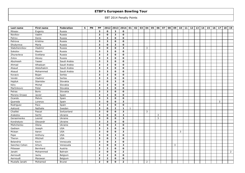| Last name      | First name   | Federation    | $\mathbf{s}$ | PN | PP                      | 2012                    | 2013                    | 2014           | 01           | 02 | 03 | 04             | 05 | 06 | 07 | 08 | 09 | 10 | 11 | 12 | 13 | 14 | 15 | 16 | 17 | 18 | 19             |
|----------------|--------------|---------------|--------------|----|-------------------------|-------------------------|-------------------------|----------------|--------------|----|----|----------------|----|----|----|----|----|----|----|----|----|----|----|----|----|----|----------------|
| Mineev         | Evgeniy      | Russia        |              |    | $\overline{\mathbf{3}}$ | $\mathbf 0$             | $\overline{\mathbf{3}}$ | $\mathbf{o}$   |              |    |    |                |    |    |    |    |    |    |    |    |    |    |    |    |    |    |                |
| Novikov        | Vadim        | Russia        |              |    | $\overline{\mathbf{3}}$ | 0                       | $\overline{\mathbf{3}}$ | $\mathbf{o}$   |              |    |    |                |    |    |    |    |    |    |    |    |    |    |    |    |    |    |                |
| Petrov         | Denis        | Russia        |              |    | $\overline{\mathbf{3}}$ | 3                       | $\mathbf 0$             | 0              |              |    |    |                |    |    |    |    |    |    |    |    |    |    |    |    |    |    |                |
| Petrova        | Kristina     | Russia        |              |    | $\mathbf{3}$            | 3                       | $\mathbf{o}$            | $\mathbf{o}$   |              |    |    |                |    |    |    |    |    |    |    |    |    |    |    |    |    |    |                |
| Shubyreva      | Maria        | Russia        |              |    | $\overline{\mathbf{3}}$ | 0                       | $\overline{\mathbf{3}}$ | $\mathbf{o}$   |              |    |    |                |    |    |    |    |    |    |    |    |    |    |    |    |    |    |                |
| Slabzhennikov  | Vladimir     | Russia        |              |    | $\mathbf{3}$            | $\mathbf{o}$            | $\mathbf{o}$            | $\mathbf{3}$   |              |    |    | 3              |    |    |    |    |    |    |    |    |    |    |    |    |    |    |                |
| Sokolov        | Maxim        | Russia        |              |    | $\overline{3}$          | $\overline{\mathbf{3}}$ | $\Omega$                | $\mathbf{o}$   |              |    |    |                |    |    |    |    |    |    |    |    |    |    |    |    |    |    |                |
| Zhuravleva     | Svetlana     | Russia        |              |    | $\overline{\mathbf{3}}$ | $\overline{\mathbf{3}}$ | $\mathbf{o}$            | $\mathbf 0$    |              |    |    |                |    |    |    |    |    |    |    |    |    |    |    |    |    |    |                |
| Zotov          | Alexey       | Russia        |              |    | $\mathbf{3}$            | 3                       | $\mathbf 0$             | 0              |              |    |    |                |    |    |    |    |    |    |    |    |    |    |    |    |    |    |                |
| Abulreesh      | Yasser       | Saudi Arabia  |              |    | $\overline{\mathbf{3}}$ | $\overline{\mathbf{3}}$ | $\mathbf 0$             | $\mathbf{o}$   |              |    |    |                |    |    |    |    |    |    |    |    |    |    |    |    |    |    |                |
| Ahmad          | Alhadyan     | Saudi Arabia  |              |    | $\overline{\mathbf{3}}$ | $\mathbf{3}$            | $\mathbf{o}$            | $\mathbf{o}$   |              |    |    |                |    |    |    |    |    |    |    |    |    |    |    |    |    |    |                |
| Alsaud         | Abdulhakim   | Saudi Arabia  |              |    | $\mathbf 3$             | $\mathbf{3}$            | $\Omega$                | $\mathbf{o}$   |              |    |    |                |    |    |    |    |    |    |    |    |    |    |    |    |    |    |                |
| Alsaud         | Mohammed     | Saudi Arabia  |              |    | $\overline{\mathbf{3}}$ | $\mathbf{3}$            | $\mathbf{o}$            | $\mathbf{o}$   |              |    |    |                |    |    |    |    |    |    |    |    |    |    |    |    |    |    |                |
| Kovacic        | Bojan        | Serbia        |              |    | $\mathbf{3}$            | 3                       | $\mathbf{o}$            | 0              |              |    |    |                |    |    |    |    |    |    |    |    |    |    |    |    |    |    |                |
| Verebi         | Vladimir     | Serbia        |              |    | $\overline{\mathbf{3}}$ | $\mathbf{3}$            | $\mathbf 0$             | 0              |              |    |    |                |    |    |    |    |    |    |    |    |    |    |    |    |    |    |                |
| Hajduk         | Stanislav    | Slovakia      |              |    | $\overline{\mathbf{3}}$ | 0                       | $\mathbf{3}$            | $\mathbf 0$    |              |    |    |                |    |    |    |    |    |    |    |    |    |    |    |    |    |    |                |
| Kéry           | Michal       | Slovakia      |              |    | $\mathbf{3}$            | $\mathbf{3}$            | $\mathbf{o}$            | 0              |              |    |    |                |    |    |    |    |    |    |    |    |    |    |    |    |    |    |                |
| Martinkovic    | Peter        | Slovakia      |              |    | 3                       | $\mathbf{3}$            | $\mathbf 0$             | $\mathbf{o}$   |              |    |    |                |    |    |    |    |    |    |    |    |    |    |    |    |    |    |                |
| Petras         | <b>Boris</b> | Slovakia      |              |    | $\overline{\mathbf{3}}$ | $\mathbf{3}$            | $\mathbf{o}$            | $\mathbf 0$    |              |    |    |                |    |    |    |    |    |    |    |    |    |    |    |    |    |    |                |
| Moreno Orzaez  | Javier       | Spain         |              |    | $\mathbf{3}$            | 3                       | $\mathbf 0$             | 0              |              |    |    |                |    |    |    |    |    |    |    |    |    |    |    |    |    |    |                |
| Ocando         | Melvin       | Spain         |              |    | $\overline{\mathbf{3}}$ | $\overline{\mathbf{3}}$ | $\mathbf 0$             | $\mathbf{o}$   |              |    |    |                |    |    |    |    |    |    |    |    |    |    |    |    |    |    |                |
| Quereda        | Lorenzo      | Spain         |              |    | $\overline{\mathbf{3}}$ | 0                       | $\mathbf{o}$            | $\mathbf{3}$   |              |    |    |                |    |    |    |    |    |    |    |    |    |    |    |    | 3  |    |                |
| Rodriguez      | Paco         | Spain         |              |    | $\mathbf{3}$            | $\mathbf{3}$            | $\Omega$                | $\mathbf{o}$   |              |    |    |                |    |    |    |    |    |    |    |    |    |    |    |    |    |    |                |
| Asklund        | Nathalie     | Sweden        |              |    | $\overline{\mathbf{3}}$ | 0                       | $\overline{2}$          | $\mathbf{1}$   | $\mathbf{1}$ |    |    |                |    |    |    |    |    |    |    |    |    |    |    |    |    |    |                |
| Chaillet       | Pascal       | Switzerland   |              |    | $\mathbf{3}$            | $\mathbf{o}$            | $\mathbf{o}$            | $\mathbf{3}$   |              |    |    | 3              |    |    |    |    |    |    |    |    |    |    |    |    |    |    |                |
| Arakelov       | Serhii       | Ukraine       |              |    | $\mathbf{3}$            | $\mathbf{o}$            | $\Omega$                | $\mathbf{3}$   |              |    |    |                |    | 3  |    |    |    |    |    |    |    |    |    |    |    |    |                |
| Gerasimenko    | Leonid       | Ukraine       |              |    | $\overline{\mathbf{3}}$ | 0                       | $\mathbf{o}$            | $\mathbf{3}$   |              |    |    |                |    | 3  |    |    |    |    |    |    |    |    |    |    |    |    |                |
| Kondratyev     | Olexandr     | Ukraine       |              |    | $\mathbf{3}$            | $\mathbf{3}$            | $\mathbf{o}$            | $\mathbf 0$    |              |    |    |                |    |    |    |    |    |    |    |    |    |    |    |    |    |    |                |
| Mishchenko     | Olena        | Ukraine       |              |    | 3                       | $\mathbf{o}$            | 3                       | $\mathbf{o}$   |              |    |    |                |    |    |    |    |    |    |    |    |    |    |    |    |    |    |                |
| Gadison        | Joseph       | <b>USA</b>    |              |    | $\overline{\mathbf{3}}$ | $\mathbf{3}$            | $\mathbf{o}$            | $\mathbf 0$    |              |    |    |                |    |    |    |    |    |    |    |    |    |    |    |    |    |    |                |
| Mclean         | Aaron        | <b>USA</b>    |              |    | $\overline{\mathbf{3}}$ | $\Omega$                | $\mathbf{o}$            | $\mathbf{3}$   |              |    |    |                |    |    |    |    |    | 3  |    |    |    |    |    |    |    |    |                |
| Pepe           | Anthony      | <b>USA</b>    |              |    | $\mathbf{3}$            | $\mathbf{o}$            | 3                       | $\mathbf{o}$   |              |    |    |                |    |    |    |    |    |    |    |    |    |    |    |    |    |    |                |
| Theron         | Mitchell     | <b>USA</b>    |              |    | $\overline{\mathbf{3}}$ | 0                       | $\mathbf{3}$            | 0              |              |    |    |                |    |    |    |    |    |    |    |    |    |    |    |    |    |    |                |
| Belandria      | Kevin        | Venezuela     |              |    | $\mathbf{3}$            | $\mathbf 0$             | $\mathbf{3}$            | $\mathbf{o}$   |              |    |    |                |    |    |    |    |    |    |    |    |    |    |    |    |    |    |                |
| Sanchez Cohen  | Arturo       | Venezuela     |              |    | $\mathbf{3}$            | 0                       | $\mathbf{o}$            | $\mathbf{3}$   |              |    |    |                |    |    |    |    | 3  |    |    |    |    |    |    |    |    |    |                |
| Pittesser      | Bernhard     | Austria       |              |    | $\overline{2}$          | $\overline{2}$          | $\Omega$                | 0              |              |    |    |                |    |    |    |    |    |    |    |    |    |    |    |    |    |    |                |
| Janahi         | Mohammed     | Bahrain       |              |    | $\overline{2}$          | $\mathbf{o}$            | $\mathbf{o}$            | $\overline{2}$ |              |    |    |                |    |    |    |    |    |    |    |    |    |    |    |    |    |    | $\overline{2}$ |
| Aernoudt       | Jacky        | Belgium       |              |    | $\overline{2}$          | $\overline{2}$          | $\mathbf{o}$            | 0              |              |    |    |                |    |    |    |    |    |    |    |    |    |    |    |    |    |    |                |
| Aernoudt       | Marawan      | Belgium       |              |    | $\overline{2}$          | $\overline{2}$          | $\mathbf{o}$            | $\mathbf{o}$   |              |    |    |                |    |    |    |    |    |    |    |    |    |    |    |    |    |    |                |
| Mustafa Janahi | Mohamed      | <b>Brunei</b> |              |    | $\overline{2}$          | 0                       | $\mathbf 0$             | $\overline{2}$ |              |    |    | $\overline{2}$ |    |    |    |    |    |    |    |    |    |    |    |    |    |    |                |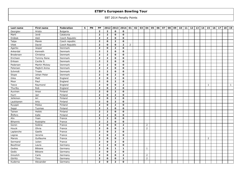| Last name       | First name     | Federation      | $\mathbf{s}$ | PN | PP             |                | 2012 2013 2014 01 |                |                | 02 | 03 04          | 05 | 06 | 07 | 08 | 09 | $10$ 11 | 12 | 13 | 14 | 15             | 16 | 17 <sup>1</sup> | 18 | 19 |
|-----------------|----------------|-----------------|--------------|----|----------------|----------------|-------------------|----------------|----------------|----|----------------|----|----|----|----|----|---------|----|----|----|----------------|----|-----------------|----|----|
| Georgiev        | Hristo         | <b>Bulgaria</b> |              |    | $\overline{2}$ | $\overline{2}$ | $\mathbf{o}$      | $\mathbf 0$    |                |    |                |    |    |    |    |    |         |    |    |    |                |    |                 |    |    |
| Martí           | Jordi          | Catalunia       |              |    | $\overline{2}$ | $\overline{2}$ | $\mathbf{o}$      | $\mathbf{o}$   |                |    |                |    |    |    |    |    |         |    |    |    |                |    |                 |    |    |
| Drábek          | Aleš           | Czech Republic  |              |    | $\overline{2}$ | $\overline{2}$ | $\mathbf{o}$      | 0              |                |    |                |    |    |    |    |    |         |    |    |    |                |    |                 |    |    |
| Talpa           | Marek          | Czech republic  |              |    | $\mathbf{2}$   | 0              | $\overline{2}$    | 0              |                |    |                |    |    |    |    |    |         |    |    |    |                |    |                 |    |    |
| Vitek           | David          | Czech Republic  |              |    | $\overline{2}$ | $\mathbf{o}$   | $\mathbf{o}$      | $\overline{2}$ | $\overline{2}$ |    |                |    |    |    |    |    |         |    |    |    |                |    |                 |    |    |
| Agerbo          | Jesper         | Denmark         |              |    | $\overline{2}$ | $\mathbf{o}$   | $\overline{2}$    | $\mathbf{o}$   |                |    |                |    |    |    |    |    |         |    |    |    |                |    |                 |    |    |
| Ankerdal        | Kenneth        | Denmark         |              |    | $\overline{2}$ | $\overline{2}$ | $\mathbf{o}$      | 0              |                |    |                |    |    |    |    |    |         |    |    |    |                |    |                 |    |    |
| Brodersen       | Christina      | Denmark         |              |    | $\overline{2}$ | $\overline{2}$ | $\mathbf{o}$      | $\mathbf 0$    |                |    |                |    |    |    |    |    |         |    |    |    |                |    |                 |    |    |
| Erichsen        | Tommy Rene     | Denmark         |              |    | $\overline{2}$ | $\overline{2}$ | $\mathbf{o}$      | 0              |                |    |                |    |    |    |    |    |         |    |    |    |                |    |                 |    |    |
| Eriksen         | Cecilie S.     | Denmark         |              |    | $\overline{2}$ | $\overline{2}$ | $\mathbf{o}$      | 0              |                |    |                |    |    |    |    |    |         |    |    |    |                |    |                 |    |    |
| Pedersen        | Martin Mickey  | Denmark         |              |    | $\overline{2}$ | $\overline{2}$ | $\mathbf{o}$      | $\mathbf{o}$   |                |    |                |    |    |    |    |    |         |    |    |    |                |    |                 |    |    |
| Petersen        | Majbrit Anina  | Denmark         |              |    | $\overline{2}$ | $\overline{2}$ | $\mathbf{o}$      | $\mathbf 0$    |                |    |                |    |    |    |    |    |         |    |    |    |                |    |                 |    |    |
| Schmidt         | Troels         | Denmark         |              |    | $\overline{2}$ | $\overline{2}$ | $\mathbf{o}$      | 0              |                |    |                |    |    |    |    |    |         |    |    |    |                |    |                 |    |    |
| Stope           | Johan Peter    | Denmark         |              |    | $\overline{2}$ | $\mathbf 0$    | $\overline{2}$    | 0              |                |    |                |    |    |    |    |    |         |    |    |    |                |    |                 |    |    |
| Giles           | Matt           | England         |              |    | $\mathbf{2}$   | $\mathbf{o}$   | $\overline{2}$    | 0              |                |    |                |    |    |    |    |    |         |    |    |    |                |    |                 |    |    |
| Moor            | Paul           | England         |              |    | $\overline{2}$ | $\mathbf{o}$   | $\overline{2}$    | $\mathbf{o}$   |                |    |                |    |    |    |    |    |         |    |    |    |                |    |                 |    |    |
| Teece           | Raymond        | England         |              |    | $\overline{2}$ | $\mathbf{o}$   | $\mathbf{o}$      | $\overline{2}$ |                |    |                |    |    |    |    |    |         |    |    |    | $\mathbf{1}$   |    |                 |    | 1  |
| Thurlby         | Rob            | England         |              |    | $\overline{2}$ | 0              | $\overline{2}$    | 0              |                |    |                |    |    |    |    |    |         |    |    |    |                |    |                 |    |    |
| Auvinen         | Anssi          | Finland         |              |    | $\overline{2}$ | $\mathbf{o}$   | $\overline{2}$    | $\mathbf{o}$   |                |    |                |    |    |    |    |    |         |    |    |    |                |    |                 |    |    |
| Hurri           | Jari           | Finland         |              |    | $\overline{2}$ | $\mathbf{o}$   | $\overline{2}$    | 0              |                |    |                |    |    |    |    |    |         |    |    |    |                |    |                 |    |    |
| Jehkinen        | Ari            | Finland         |              |    | $\overline{2}$ | $\mathbf{o}$   | $\overline{2}$    | 0              |                |    |                |    |    |    |    |    |         |    |    |    |                |    |                 |    |    |
| Laukkanen       | Arto           | Finland         |              |    | $\overline{2}$ | $\mathbf{o}$   | $\overline{2}$    | $\mathbf{o}$   |                |    |                |    |    |    |    |    |         |    |    |    |                |    |                 |    |    |
| Ryyppö          | Pekka          | Finland         |              |    | $\overline{2}$ | 0              | $\overline{2}$    | $\mathbf 0$    |                |    |                |    |    |    |    |    |         |    |    |    |                |    |                 |    |    |
| Seppi           | Tuomas         | Finland         |              |    | $\overline{2}$ | $\overline{2}$ | $\mathbf{o}$      | 0              |                |    |                |    |    |    |    |    |         |    |    |    |                |    |                 |    |    |
| Tainen          | Heikki         | Finland         |              |    | $\overline{2}$ | $\overline{2}$ | $\mathbf{o}$      | $\mathbf 0$    |                |    |                |    |    |    |    |    |         |    |    |    |                |    |                 |    |    |
| Åhlfors         | Kalle          | Finland         |              |    | $\overline{2}$ | $\overline{2}$ | $\mathbf{o}$      | $\mathbf 0$    |                |    |                |    |    |    |    |    |         |    |    |    |                |    |                 |    |    |
| Alix            | Yoan           | France          |              |    | $\overline{2}$ | $\overline{2}$ | $\mathbf{o}$      | 0              |                |    |                |    |    |    |    |    |         |    |    |    |                |    |                 |    |    |
| <b>Bihannic</b> | Rodolphe       | France          |              |    | $\overline{2}$ | $\overline{2}$ | $\mathbf{o}$      | $\mathbf{o}$   |                |    |                |    |    |    |    |    |         |    |    |    |                |    |                 |    |    |
| Goren           | Solène         | France          |              |    | $\mathbf{2}$   | 0              | $\mathbf{o}$      | $\overline{2}$ |                |    | $\overline{2}$ |    |    |    |    |    |         |    |    |    |                |    |                 |    |    |
| Houck           | Olivia         | France          |              |    | $\overline{2}$ | 0              | $\mathbf{o}$      | $\mathbf{2}$   |                |    | $\overline{2}$ |    |    |    |    |    |         |    |    |    |                |    |                 |    |    |
| Laplanche       | Gaelle         | France          |              |    | $\overline{2}$ | $\mathbf{o}$   | $\overline{2}$    | $\mathbf 0$    |                |    |                |    |    |    |    |    |         |    |    |    |                |    |                 |    |    |
| Legras          | Jerome         | France          |              |    | $\overline{2}$ | $\mathbf{o}$   | $\overline{2}$    | $\mathbf{o}$   |                |    |                |    |    |    |    |    |         |    |    |    |                |    |                 |    |    |
| Marois          | Guillaume      | France          |              |    | $\overline{2}$ | $\mathbf{o}$   | $\mathbf{o}$      | $\mathbf{2}$   |                |    |                |    |    |    |    |    |         |    |    |    | $\overline{2}$ |    |                 |    |    |
| Sermand         | Julien         | France          |              |    | $\overline{2}$ | 0              | $\overline{2}$    | $\mathbf{o}$   |                |    |                |    |    |    |    |    |         |    |    |    |                |    |                 |    |    |
| Beuthner        | Laura          | Germany         |              |    | $\overline{2}$ | $\overline{2}$ | $\mathbf{o}$      | $\mathbf 0$    |                |    |                |    |    |    |    |    |         |    |    |    |                |    |                 |    |    |
| Gedies          | <b>Bibiane</b> | Germany         |              |    | $\overline{2}$ | $\mathbf{o}$   | $\mathbf{1}$      | $\mathbf{1}$   |                |    | $\mathbf{1}$   |    |    |    |    |    |         |    |    |    |                |    |                 |    |    |
| Gedis           | Bibiane        | Germany         |              |    | $\overline{2}$ | $\mathbf{o}$   | $\overline{2}$    | $\mathbf 0$    |                |    |                |    |    |    |    |    |         |    |    |    |                |    |                 |    |    |
| Greulich        | Carlo          | Germany         |              |    | $\overline{2}$ | 0              | $\mathbf{o}$      | $\overline{2}$ |                |    | $\overline{2}$ |    |    |    |    |    |         |    |    |    |                |    |                 |    |    |
| Görlitz         | Timo           | Germany         |              |    | $\overline{2}$ | $\mathbf{o}$   | $\mathbf{o}$      | $\overline{2}$ |                |    | $\overline{2}$ |    |    |    |    |    |         |    |    |    |                |    |                 |    |    |
| Kuderna         | Alexander      | Germany         |              |    | $\overline{2}$ | 0              | $\overline{2}$    | $\mathbf{o}$   |                |    |                |    |    |    |    |    |         |    |    |    |                |    |                 |    |    |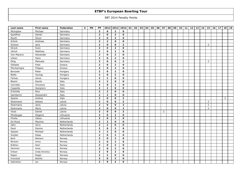| Last name   | First name     | Federation  | $\mathbf{s}$ | PN | PP             |                | 2012 2013 2014 |                | 01 | 02 | 03 04 | 05 | 06 | 07 | 08 | 09 | $10$ 11 | 12 | 13 | 14 | 15             | 16 | 17 <sup>1</sup> | 18             | 19 |
|-------------|----------------|-------------|--------------|----|----------------|----------------|----------------|----------------|----|----|-------|----|----|----|----|----|---------|----|----|----|----------------|----|-----------------|----------------|----|
| Michajlow   | Michael        | Germany     |              |    | $\overline{2}$ | $\mathbf 0$    | $\overline{2}$ | 0              |    |    |       |    |    |    |    |    |         |    |    |    |                |    |                 |                |    |
| Queißner    | Daniel         | Germany     |              |    | $\overline{2}$ | $\mathbf{o}$   | $\overline{2}$ | $\mathbf{o}$   |    |    |       |    |    |    |    |    |         |    |    |    |                |    |                 |                |    |
| Rauth       | Oliver         | Germany     |              |    | $\overline{2}$ | 0              | $\overline{2}$ | 0              |    |    |       |    |    |    |    |    |         |    |    |    |                |    |                 |                |    |
| Schick      | Andreas        | Germany     |              |    | $\mathbf{2}$   | $\overline{2}$ | $\mathbf 0$    | 0              |    |    |       |    |    |    |    |    |         |    |    |    |                |    |                 |                |    |
| Schoon      | Jens           | Germany     |              |    | $\overline{2}$ | $\mathbf{o}$   | $\mathbf 0$    | $\overline{2}$ |    |    |       |    |    |    |    |    |         |    |    |    | $\overline{2}$ |    |                 |                |    |
| Streck      | Sven           | Germany     |              |    | $\overline{2}$ | $\mathbf{o}$   | $\overline{2}$ | $\mathbf{o}$   |    |    |       |    |    |    |    |    |         |    |    |    |                |    |                 |                |    |
| Ullrich     | Matthias       | Germany     |              |    | $\overline{2}$ | 0              | $\overline{2}$ | 0              |    |    |       |    |    |    |    |    |         |    |    |    |                |    |                 |                |    |
| Von Maravic | Alexander      | Germany     |              |    | $\overline{2}$ | $\mathbf 0$    | $\overline{2}$ | $\mathbf{o}$   |    |    |       |    |    |    |    |    |         |    |    |    |                |    |                 |                |    |
| Völzer      | Hans           | Germany     |              |    | $\overline{2}$ | 0              | $\overline{2}$ | 0              |    |    |       |    |    |    |    |    |         |    |    |    |                |    |                 |                |    |
| Öing        | Manuela        | Germany     |              |    | $\overline{2}$ | $\mathbf{o}$   | $\mathbf{o}$   | $\overline{2}$ |    |    |       |    |    |    |    |    |         |    |    |    | $\mathsf{2}$   |    |                 |                |    |
| Gilliadis   | Fotis          | Greece      |              |    | $\overline{2}$ | 0              | $\overline{2}$ | $\mathbf 0$    |    |    |       |    |    |    |    |    |         |    |    |    |                |    |                 |                |    |
| Montsenigos | Filippos       | Greece      |              |    | $\overline{2}$ | 0              | $\overline{2}$ | $\mathbf 0$    |    |    |       |    |    |    |    |    |         |    |    |    |                |    |                 |                |    |
| Borszeki    | Peter          | Hungary     |              |    | $\overline{2}$ | $\mathbf{o}$   | $\overline{2}$ | 0              |    |    |       |    |    |    |    |    |         |    |    |    |                |    |                 |                |    |
| Bödis       | Gyorgy         | Hungary     |              |    | $\overline{2}$ | 0              | $\overline{2}$ | $\mathbf 0$    |    |    |       |    |    |    |    |    |         |    |    |    |                |    |                 |                |    |
| Farkas      | Janos          | Hungary     |              |    | $\mathbf{2}$   | $\overline{2}$ | $\mathbf 0$    | $\mathbf 0$    |    |    |       |    |    |    |    |    |         |    |    |    |                |    |                 |                |    |
| Bissini     | Danilo         | Italy       |              |    | $\overline{2}$ | $\overline{2}$ | $\mathbf{o}$   | $\mathbf{o}$   |    |    |       |    |    |    |    |    |         |    |    |    |                |    |                 |                |    |
| Cerciello   | Vincenzo       | Italy       |              |    | $\overline{2}$ | $\mathbf{o}$   | $\overline{2}$ | $\mathbf{o}$   |    |    |       |    |    |    |    |    |         |    |    |    |                |    |                 |                |    |
| Coppolla    | Gianpiero      | Italy       |              |    | $\mathbf{2}$   | $\overline{2}$ | $\mathbf{o}$   | 0              |    |    |       |    |    |    |    |    |         |    |    |    |                |    |                 |                |    |
| D'Achille   | Nico           | Italy       |              |    | $\overline{2}$ | $\overline{2}$ | $\mathbf{o}$   | $\mathbf{o}$   |    |    |       |    |    |    |    |    |         |    |    |    |                |    |                 |                |    |
| Gamberini   | Alessandro     | Italy       |              |    | $\overline{2}$ | $\overline{2}$ | $\mathbf{o}$   | $\mathbf 0$    |    |    |       |    |    |    |    |    |         |    |    |    |                |    |                 |                |    |
| Spezia      | Andrea         | Italy       |              |    | $\overline{2}$ | $\mathbf{o}$   | $\mathbf{o}$   | $\overline{2}$ |    |    |       |    |    |    |    |    |         |    |    |    |                |    |                 | $\overline{2}$ |    |
| Stokmanis   | Aleksis        | Latvia      |              |    | $\overline{2}$ | $\mathbf{o}$   | $\mathbf{o}$   | $\overline{2}$ |    |    |       |    |    |    |    |    |         |    |    |    | $\overline{2}$ |    |                 |                |    |
| Stokmanis   | Janis          | Latvia      |              |    | $\overline{2}$ | 0              | $\mathbf{o}$   | $\overline{2}$ |    |    |       |    |    |    |    |    |         |    |    |    | $\overline{2}$ |    |                 |                |    |
| Stokmanis   | Maris          | Latvia      |              |    | $\overline{2}$ | 0              | $\mathbf{o}$   | $\overline{2}$ |    |    |       |    |    |    |    |    |         |    |    |    | $\overline{2}$ |    |                 |                |    |
| Vezis       | Daniel         | Latvia      |              |    | $\overline{2}$ | $\mathbf{o}$   | $\mathbf{o}$   | $\overline{2}$ |    |    |       |    |    | 2  |    |    |         |    |    |    |                |    |                 |                |    |
| Mindaugas   | Slegeris       | Lithuania   |              |    | $\overline{2}$ | $\mathbf{o}$   | $\overline{2}$ | $\mathbf 0$    |    |    |       |    |    |    |    |    |         |    |    |    |                |    |                 |                |    |
| Pinelis     | Valius         | Lithuania   |              |    | $\overline{2}$ | $\mathbf{o}$   | $\overline{2}$ | 0              |    |    |       |    |    |    |    |    |         |    |    |    |                |    |                 |                |    |
| De Rooij    | Maxime         | Netherlands |              |    | $\overline{2}$ | $\overline{2}$ | $\mathbf{o}$   | $\mathbf{o}$   |    |    |       |    |    |    |    |    |         |    |    |    |                |    |                 |                |    |
| Jahn        | Jerry          | Netherlands |              |    | $\mathbf{2}$   | $\overline{2}$ | $\mathbf 0$    | 0              |    |    |       |    |    |    |    |    |         |    |    |    |                |    |                 |                |    |
| Pauli       | Dennis         | Netherlands |              |    | $\overline{2}$ | 0              | $\overline{2}$ | $\mathbf{o}$   |    |    |       |    |    |    |    |    |         |    |    |    |                |    |                 |                |    |
| Sassen      | Michael        | Netherlands |              |    | $\overline{2}$ | $\overline{2}$ | $\mathbf{o}$   | $\mathbf 0$    |    |    |       |    |    |    |    |    |         |    |    |    |                |    |                 |                |    |
| Snijder     | Klaas          | Netherlands |              |    | $\overline{2}$ | $\mathbf{o}$   | $\overline{2}$ | 0              |    |    |       |    |    |    |    |    |         |    |    |    |                |    |                 |                |    |
| Bech        | Mariann        | Norway      |              |    | $\overline{2}$ | $\mathbf{o}$   | $\overline{2}$ | $\mathbf{o}$   |    |    |       |    |    |    |    |    |         |    |    |    |                |    |                 |                |    |
| Bentzen     | Jenny          | Norway      |              |    | $\overline{2}$ | 0              | $\overline{2}$ | $\mathbf{o}$   |    |    |       |    |    |    |    |    |         |    |    |    |                |    |                 |                |    |
| Bråthen     | Stein          | Norway      |              |    | $\overline{2}$ | 0              | $\overline{2}$ | $\mathbf 0$    |    |    |       |    |    |    |    |    |         |    |    |    |                |    |                 |                |    |
| Dammen      | Jonas          | Norway      |              |    | $\overline{2}$ | $\mathbf{o}$   | $\overline{2}$ | $\mathbf{o}$   |    |    |       |    |    |    |    |    |         |    |    |    |                |    |                 |                |    |
| Eriksen     | Cindy Veronica | Norway      |              |    | $\overline{2}$ | $\mathbf{o}$   | $\overline{2}$ | $\mathbf 0$    |    |    |       |    |    |    |    |    |         |    |    |    |                |    |                 |                |    |
| Espen       | Roger          | Norway      |              |    | $\overline{2}$ | $\overline{2}$ | $\mathbf{o}$   | 0              |    |    |       |    |    |    |    |    |         |    |    |    |                |    |                 |                |    |
| Fremstad    | Marthe         | Norway      |              |    | $\overline{2}$ | $\mathbf{o}$   | $\overline{2}$ | $\mathbf{o}$   |    |    |       |    |    |    |    |    |         |    |    |    |                |    |                 |                |    |
| Gabrielsen  | Jan            | Norway      |              |    | $\overline{2}$ | 0              | $\overline{2}$ | $\mathbf 0$    |    |    |       |    |    |    |    |    |         |    |    |    |                |    |                 |                |    |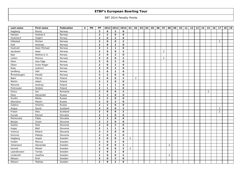| Last name   | First name    | Federation | $\mathbf{s}$ | PN | PP             |                | 2012 2013 2014 01 |                |                | 02             | 03   04 | 05 | i 06 l | 07             | 08             | 09 | $10$   11 | 12 | 13 | 14 | 15             | 16 | 17 <sup>1</sup> | 18 | 19 |
|-------------|---------------|------------|--------------|----|----------------|----------------|-------------------|----------------|----------------|----------------|---------|----|--------|----------------|----------------|----|-----------|----|----|----|----------------|----|-----------------|----|----|
| Hagberg     | Ronny         | Norway     |              |    | $\overline{2}$ | $\mathbf{o}$   | $\overline{2}$    | $\mathbf 0$    |                |                |         |    |        |                |                |    |           |    |    |    |                |    |                 |    |    |
| Hansen      | Andrea E      | Norway     |              |    | $\overline{2}$ | $\overline{2}$ | $\mathbf{o}$      | $\mathbf{o}$   |                |                |         |    |        |                |                |    |           |    |    |    |                |    |                 |    |    |
| Haukeland   | Asbjørn       | Norway     |              |    | $\overline{2}$ | 0              | $\overline{2}$    | 0              |                |                |         |    |        |                |                |    |           |    |    |    |                |    |                 |    |    |
| Hillestad   | Morten        | Norway     |              |    | $\mathbf{2}$   | 0              | $\mathbf 0$       | $\overline{2}$ |                |                |         |    |        |                |                |    |           |    |    |    |                |    | $\overline{2}$  |    |    |
| Holt        | Andreas       | Norway     |              |    | $\mathbf{2}$   | $\mathbf{o}$   | $\overline{2}$    | $\mathbf{o}$   |                |                |         |    |        |                |                |    |           |    |    |    |                |    |                 |    |    |
| Hustveit    | Sean Michael  | Norway     |              |    | $\overline{2}$ | $\mathbf{1}$   | $\mathbf{1}$      | $\mathbf{o}$   |                |                |         |    |        |                |                |    |           |    |    |    |                |    |                 |    |    |
| Jacobsen    | Aase          | Norway     |              |    | $\overline{2}$ | 0              | $\mathbf{o}$      | $\overline{2}$ |                |                |         |    |        | $\overline{2}$ |                |    |           |    |    |    |                |    |                 |    |    |
| Kjær        | Mathias G. D. | Norway     |              |    | $\mathbf{2}$   | $\mathbf{o}$   | $\overline{2}$    | $\mathbf{o}$   |                |                |         |    |        |                |                |    |           |    |    |    |                |    |                 |    |    |
| Lislien     | Monica        | Norway     |              |    | $\overline{2}$ | $\mathbf{o}$   | $\mathbf 0$       | $\overline{2}$ |                |                |         |    |        | $\overline{2}$ |                |    |           |    |    |    |                |    |                 |    |    |
| Olsen       | Anja Talgø    | Norway     |              |    | $\overline{2}$ | $\mathbf{o}$   | $\overline{2}$    | 0              |                |                |         |    |        |                |                |    |           |    |    |    |                |    |                 |    |    |
| Olsen       | Svein Roger   | Norway     |              |    | $\overline{2}$ | $\mathbf{o}$   | $\overline{2}$    | 0              |                |                |         |    |        |                |                |    |           |    |    |    |                |    |                 |    |    |
| Risøy       | Joakimm       | Norway     |              |    | $\overline{2}$ | $\mathbf{o}$   | $\overline{2}$    | $\mathbf{o}$   |                |                |         |    |        |                |                |    |           |    |    |    |                |    |                 |    |    |
| Sandberg    | Odd           | Norway     |              |    | $\overline{2}$ | 0              | $\overline{2}$    | $\mathbf 0$    |                |                |         |    |        |                |                |    |           |    |    |    |                |    |                 |    |    |
| Årneshaugen | Harald        | Norway     |              |    | $\overline{2}$ | $\overline{2}$ | $\Omega$          | 0              |                |                |         |    |        |                |                |    |           |    |    |    |                |    |                 |    |    |
| Bakir       | Patryk        | Poland     |              |    | $\overline{2}$ | 0              | $\mathbf 0$       | $\overline{2}$ |                | $\overline{2}$ |         |    |        |                |                |    |           |    |    |    |                |    |                 |    |    |
| Martin      | Adam          | Poland     |              |    | $\overline{2}$ | $\overline{2}$ | $\mathbf{o}$      | $\mathbf 0$    |                |                |         |    |        |                |                |    |           |    |    |    |                |    |                 |    |    |
| Meronik     | Andrzej       | Poland     |              |    | $\overline{2}$ | $\mathbf{1}$   | $\mathbf{1}$      | 0              |                |                |         |    |        |                |                |    |           |    |    |    |                |    |                 |    |    |
| Piotrowski  | Wojtek        | Poland     |              |    | $\overline{2}$ | $\mathbf{1}$   | $\mathbf{1}$      | $\mathbf{o}$   |                |                |         |    |        |                |                |    |           |    |    |    |                |    |                 |    |    |
| Grecu       | Ion           | Romania    |              |    | $\overline{2}$ | 0              | $\mathbf{o}$      | $\overline{2}$ |                |                |         |    |        |                |                |    |           |    |    |    | $\overline{2}$ |    |                 |    |    |
| Deev        | Alexander     | Russia     |              |    | $\overline{2}$ | $\overline{2}$ | $\mathbf 0$       | 0              |                |                |         |    |        |                |                |    |           |    |    |    |                |    |                 |    |    |
| Kurdin      | Nikita        | Russia     |              |    | $\overline{2}$ | $\overline{2}$ | $\mathbf 0$       | $\mathbf{o}$   |                |                |         |    |        |                |                |    |           |    |    |    |                |    |                 |    |    |
| Okorokov    | Maxim         | Russia     |              |    | $\overline{2}$ | 0              | $\overline{2}$    | 0              |                |                |         |    |        |                |                |    |           |    |    |    |                |    |                 |    |    |
| Zubkov      | Artemiy       | Russia     |              |    | $\mathbf 2$    | $\overline{2}$ | $\Omega$          | $\mathbf{o}$   |                |                |         |    |        |                |                |    |           |    |    |    |                |    |                 |    |    |
| Angus       | David         | Scotland   |              |    | $\overline{2}$ | $\mathbf 0$    | $\mathbf{o}$      | $\overline{2}$ |                |                |         |    |        |                |                |    |           |    |    |    |                |    | $\overline{2}$  |    |    |
| Fraser      | Alex          | Scotland   |              |    | $\overline{2}$ | 0              | $\mathbf 0$       | $\overline{2}$ |                |                |         |    |        |                |                |    |           |    |    |    |                |    | $\overline{2}$  |    |    |
| Kuciak      | Roman         | Slovakia   |              |    | $\overline{2}$ | $\overline{2}$ | $\mathbf 0$       | 0              |                |                |         |    |        |                |                |    |           |    |    |    |                |    |                 |    |    |
| Merkovský   | Fabio         | Slovakia   |              |    | $\overline{2}$ | $\overline{2}$ | $\mathbf{o}$      | $\mathbf 0$    |                |                |         |    |        |                |                |    |           |    |    |    |                |    |                 |    |    |
| Banjac      | Zoran         | Slovenia   |              |    | $\overline{2}$ | $\overline{2}$ | $\mathbf{o}$      | $\mathbf 0$    |                |                |         |    |        |                |                |    |           |    |    |    |                |    |                 |    |    |
| Godnic      | Robi          | Slovenia   |              |    | $\overline{2}$ | 0              | $\overline{2}$    | 0              |                |                |         |    |        |                |                |    |           |    |    |    |                |    |                 |    |    |
| Kogej       | Blaž          | Slovenia   |              |    | $\overline{2}$ | $\mathbf{1}$   | $\mathbf{1}$      | 0              |                |                |         |    |        |                |                |    |           |    |    |    |                |    |                 |    |    |
| Vrencur     | Rihard        | Slovenia   |              |    | $\overline{2}$ | $\overline{2}$ | $\mathbf{o}$      | $\mathbf 0$    |                |                |         |    |        |                |                |    |           |    |    |    |                |    |                 |    |    |
| Kerovec     | Mateja        | Slovenia   |              |    | $\overline{2}$ | $\mathbf{o}$   | $\overline{2}$    | $\mathbf{o}$   |                |                |         |    |        |                |                |    |           |    |    |    |                |    |                 |    |    |
| Hagberg     | Jesper        | Sweden     |              |    | $\overline{2}$ | $\mathbf{o}$   | $\Omega$          | $\overline{2}$ | $\overline{2}$ |                |         |    |        |                |                |    |           |    |    |    |                |    |                 |    |    |
| Hultén      | Marcus        | Sweden     |              |    | $\mathbf{2}$   | 0              | $\overline{2}$    | $\mathbf 0$    |                |                |         |    |        |                |                |    |           |    |    |    |                |    |                 |    |    |
| Johansson   | Alexander     | Sweden     |              |    | $\overline{2}$ | 0              | $\mathbf{o}$      | $\overline{2}$ |                |                |         |    |        |                | $\overline{2}$ |    |           |    |    |    |                |    |                 |    |    |
| Kanold      | Mikael        | Sweden     |              |    | $\overline{2}$ | $\mathbf{o}$   | $\mathbf{o}$      | $\overline{2}$ | $\overline{2}$ |                |         |    |        |                |                |    |           |    |    |    |                |    |                 |    |    |
| Leandersson | Tomas         | Sweden     |              |    | $\overline{2}$ | 0              | $\overline{2}$    | 0              |                |                |         |    |        |                |                |    |           |    |    |    |                |    |                 |    |    |
| Linderoth   | Josefine      | Sweden     |              |    | $\overline{2}$ | $\mathbf{o}$   | $\mathbf{o}$      | $\overline{2}$ |                |                |         |    |        |                | $\mathbf{2}$   |    |           |    |    |    |                |    |                 |    |    |
| Nilsson     | Emil          | Sweden     |              |    | $\overline{2}$ | 0              | $\overline{2}$    | $\mathbf 0$    |                |                |         |    |        |                |                |    |           |    |    |    |                |    |                 |    |    |
| Nilsson     | Mattias       | Sweden     |              |    | $\overline{2}$ | 0              | $\overline{2}$    | $\mathbf{o}$   |                |                |         |    |        |                |                |    |           |    |    |    |                |    |                 |    |    |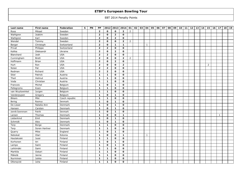| Last name        | First name    | Federation     | $\mathbf{s}$ | PN | PP             |                | 2012 2013 2014 |                | 01             | 02 | 03 04        | 05 | 06 | 07 | 08 | 09 | $10$ 11 | 12 | 13 | 14 | 15             | 16 | 17           | 18 | 19 |
|------------------|---------------|----------------|--------------|----|----------------|----------------|----------------|----------------|----------------|----|--------------|----|----|----|----|----|---------|----|----|----|----------------|----|--------------|----|----|
| Roos             | Mikael        | Sweden         |              |    | $\overline{2}$ | $\mathbf{o}$   | $\mathbf{o}$   | $\overline{2}$ | 2              |    |              |    |    |    |    |    |         |    |    |    |                |    |              |    |    |
| Wahlgren         | Joakim        | Sweden         |              |    | $\overline{2}$ | 0              | $\overline{2}$ | 0              |                |    |              |    |    |    |    |    |         |    |    |    |                |    |              |    |    |
| Wahlgren         | Karl          | Sweden         |              |    | $\overline{2}$ | $\mathbf{o}$   | $\overline{2}$ | $\mathbf 0$    |                |    |              |    |    |    |    |    |         |    |    |    |                |    |              |    |    |
| Wendel           | Tommy         | Sweden         |              |    | $\overline{2}$ | $\mathbf{o}$   | $\mathbf 0$    | $\overline{2}$ | $\overline{2}$ |    |              |    |    |    |    |    |         |    |    |    |                |    |              |    |    |
| Berger           | Christoph     | Switzerland    |              |    | $\overline{2}$ | $\mathbf{o}$   | $\mathbf{1}$   | $\mathbf 1$    |                |    | 1            |    |    |    |    |    |         |    |    |    |                |    |              |    |    |
| Privat           | Philippe      | Switzerland    |              |    | $\overline{2}$ | $\overline{2}$ | $\mathbf{o}$   | $\mathbf{o}$   |                |    |              |    |    |    |    |    |         |    |    |    |                |    |              |    |    |
| Kalika           | Oleksandr     | Ukraine        |              |    | $\overline{2}$ | $\mathbf{o}$   | $\overline{2}$ | $\mathbf{o}$   |                |    |              |    |    |    |    |    |         |    |    |    |                |    |              |    |    |
| Blanchard        | Josh          | <b>USA</b>     |              |    | $\overline{2}$ | $\overline{2}$ | $\mathbf{o}$   | $\mathbf 0$    |                |    |              |    |    |    |    |    |         |    |    |    |                |    |              |    |    |
| Cunningham       | <b>Brett</b>  | <b>USA</b>     |              |    | $\overline{2}$ | $\mathbf{o}$   | $\mathbf{o}$   | $\overline{2}$ | $\overline{2}$ |    |              |    |    |    |    |    |         |    |    |    |                |    |              |    |    |
| Hoffmann         | <b>Brian</b>  | <b>USA</b>     |              |    | $\overline{2}$ | $\mathbf{o}$   | $\overline{2}$ | $\mathbf{o}$   |                |    |              |    |    |    |    |    |         |    |    |    |                |    |              |    |    |
| Hurt             | Ron           | <b>USA</b>     |              |    | $\overline{2}$ | $\mathbf{o}$   | $\mathbf{o}$   | $\overline{2}$ |                |    |              |    |    |    |    |    |         |    |    |    | $\overline{2}$ |    |              |    |    |
| Nolan            | Pat           | <b>USA</b>     |              |    | $\overline{2}$ | $\overline{2}$ | $\Omega$       | $\mathbf{o}$   |                |    |              |    |    |    |    |    |         |    |    |    |                |    |              |    |    |
| Redman           | Richard       | <b>USA</b>     |              |    | $\overline{2}$ | $\overline{2}$ | $\mathbf{o}$   | $\mathbf{o}$   |                |    |              |    |    |    |    |    |         |    |    |    |                |    |              |    |    |
| Stiel            | Patrick       | Austria        |              |    | $\mathbf{1}$   | $\mathbf{1}$   | $\mathbf 0$    | 0              |                |    |              |    |    |    |    |    |         |    |    |    |                |    |              |    |    |
| Theil            | Helmut        | Austria        |              |    | $\mathbf{1}$   | $\mathbf{1}$   | $\Omega$       | $\mathbf{o}$   |                |    |              |    |    |    |    |    |         |    |    |    |                |    |              |    |    |
| Voda             | Christian     | Austria        |              |    | $\mathbf{1}$   | $\mathbf{1}$   | $\mathbf{o}$   | $\mathbf{o}$   |                |    |              |    |    |    |    |    |         |    |    |    |                |    |              |    |    |
| Francois         | Michel        | Belgium        |              |    | $\mathbf{1}$   | $\mathbf{o}$   | $\mathbf{1}$   | $\mathbf 0$    |                |    |              |    |    |    |    |    |         |    |    |    |                |    |              |    |    |
| Pellegroms       | Koen          | Belgium        |              |    | $\mathbf{1}$   | $\mathbf{1}$   | $\mathbf{o}$   | $\mathbf{o}$   |                |    |              |    |    |    |    |    |         |    |    |    |                |    |              |    |    |
| van Wuytswinkel  | Jurgen        | Belgium        |              |    | $\mathbf{1}$   | $\mathbf{1}$   | $\mathbf{o}$   | $\mathbf 0$    |                |    |              |    |    |    |    |    |         |    |    |    |                |    |              |    |    |
| Vanderpypen      | Gregory       | Belgium        |              |    | $\mathbf{1}$   | $\mathbf{o}$   | $\mathbf{1}$   | $\mathbf 0$    |                |    |              |    |    |    |    |    |         |    |    |    |                |    |              |    |    |
| <b>Bikars</b>    | Miki          | Czech republic |              |    | $\mathbf{1}$   | $\mathbf{1}$   | $\mathbf{o}$   | 0              |                |    |              |    |    |    |    |    |         |    |    |    |                |    |              |    |    |
| Bering           | Rasmus        | Denmark        |              |    | $\mathbf{1}$   | $\mathbf{o}$   | $\mathbf{1}$   | $\mathbf{o}$   |                |    |              |    |    |    |    |    |         |    |    |    |                |    |              |    |    |
| De Lisser        | Natalia Ann   | Denmark        |              |    | $\mathbf{1}$   | $\mathbf{o}$   | $\mathbf{1}$   | $\mathbf{o}$   |                |    |              |    |    |    |    |    |         |    |    |    |                |    |              |    |    |
| Hansen           | Carsten       | Denmark        |              |    | $\mathbf{1}$   | 0              | $\mathbf{1}$   | $\mathbf 0$    |                |    |              |    |    |    |    |    |         |    |    |    |                |    |              |    |    |
| Jannik Soerensen | Patrik        | Denmark        |              |    | $\mathbf{1}$   | $\mathbf{o}$   | $\mathbf{1}$   | $\mathbf{o}$   |                |    |              |    |    |    |    |    |         |    |    |    |                |    |              |    |    |
| Larsen           | Thomas        | Denmark        |              |    | $\mathbf{1}$   | $\mathbf{o}$   | $\mathbf 0$    | $\mathbf{1}$   |                |    |              |    |    |    |    |    |         |    |    |    |                |    | $\mathbf{1}$ |    |    |
| Lieberkind       | Emil          | Denmark        |              |    | $\mathbf{1}$   | 0              | $\mathbf{1}$   | $\mathbf 0$    |                |    |              |    |    |    |    |    |         |    |    |    |                |    |              |    |    |
| Schmidt          | Alex          | Denmark        |              |    | $\mathbf{1}$   | 0              | $\mathbf{1}$   | 0              |                |    |              |    |    |    |    |    |         |    |    |    |                |    |              |    |    |
| Terp             | Borge         | Denmark        |              |    | $\mathbf{1}$   | $\mathbf{1}$   | $\mathbf{o}$   | $\mathbf{o}$   |                |    |              |    |    |    |    |    |         |    |    |    |                |    |              |    |    |
| Terp             | Soren Hartner | Denmark        |              |    | $\mathbf{1}$   | $\mathbf{1}$   | $\mathbf{o}$   | 0              |                |    |              |    |    |    |    |    |         |    |    |    |                |    |              |    |    |
| Quarry           | Mike          | England        |              |    | $\mathbf{1}$   | $\mathbf{o}$   | $\mathbf{1}$   | $\mathbf 0$    |                |    |              |    |    |    |    |    |         |    |    |    |                |    |              |    |    |
| Nebokat          | Olari         | Estonia        |              |    | $\mathbf{1}$   | $\mathbf{o}$   | $\mathbf{o}$   | $\mathbf{1}$   |                |    | $\mathbf{1}$ |    |    |    |    |    |         |    |    |    |                |    |              |    |    |
| Hautakoski       | Jussi         | Finland        |              |    | $\mathbf{1}$   | $\mathbf{1}$   | $\mathbf{o}$   | $\mathbf{o}$   |                |    |              |    |    |    |    |    |         |    |    |    |                |    |              |    |    |
| Korhonen         | Ari           | Finland        |              |    | $\mathbf{1}$   | $\mathbf{o}$   | $\mathbf{1}$   | $\mathbf{o}$   |                |    |              |    |    |    |    |    |         |    |    |    |                |    |              |    |    |
| Lampo            | Sami          | Finland        |              |    | $\mathbf{1}$   | $\mathbf{o}$   | $\mathbf{1}$   | $\mathbf{o}$   |                |    |              |    |    |    |    |    |         |    |    |    |                |    |              |    |    |
| Lehtimäki        | Sami          | Finland        |              |    | $\mathbf{1}$   | $\mathbf{1}$   | $\mathbf{o}$   | 0              |                |    |              |    |    |    |    |    |         |    |    |    |                |    |              |    |    |
| Marttila         | Oskari        | Finland        |              |    | $\mathbf{1}$   | $\mathbf{1}$   | $\mathbf{o}$   | 0              |                |    |              |    |    |    |    |    |         |    |    |    |                |    |              |    |    |
| Mäkelä           | Janne         | Finland        |              |    | $\mathbf{1}$   | $\mathbf{1}$   | $\Omega$       | $\mathbf{o}$   |                |    |              |    |    |    |    |    |         |    |    |    |                |    |              |    |    |
| Nurminen         | Jukka         | Finland        |              |    | $\mathbf{1}$   | 1              | $\mathbf{o}$   | $\mathbf 0$    |                |    |              |    |    |    |    |    |         |    |    |    |                |    |              |    |    |
| Ollonqvist       | Juha          | Finland        |              |    | $\mathbf{1}$   | $\mathbf{1}$   | $\mathbf 0$    | $\mathbf{o}$   |                |    |              |    |    |    |    |    |         |    |    |    |                |    |              |    |    |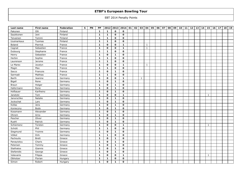| Last name    | First name   | Federation | $\mathbf{s}$ | PN | PP           | 2012         | 2013         | 2014         | 01 | 02 | 03           | 04           | 05 | 06 | 07 | 08 | 09 | 10 | 11 | 12 | 13 | 14 | 15           | 16 | 17 | 18 | 19 |
|--------------|--------------|------------|--------------|----|--------------|--------------|--------------|--------------|----|----|--------------|--------------|----|----|----|----|----|----|----|----|----|----|--------------|----|----|----|----|
| Pakonen      | Olli         | Finland    |              |    | $\mathbf{1}$ | $\mathbf{1}$ | $\mathbf{o}$ | 0            |    |    |              |              |    |    |    |    |    |    |    |    |    |    |              |    |    |    |    |
| Saukkonen    | Joni         | Finland    |              |    | $\mathbf{1}$ | $\mathbf{1}$ | $\mathbf{o}$ | $\mathbf{o}$ |    |    |              |              |    |    |    |    |    |    |    |    |    |    |              |    |    |    |    |
| Teivainen    | Tommi        | Finland    |              |    | $\mathbf{1}$ | $\mathbf{1}$ | $\mathbf{o}$ | 0            |    |    |              |              |    |    |    |    |    |    |    |    |    |    |              |    |    |    |    |
| Uusinarkaus  | Tuomas       | Finland    |              |    | $\mathbf{1}$ | $\mathbf{1}$ | $\Omega$     | 0            |    |    |              |              |    |    |    |    |    |    |    |    |    |    |              |    |    |    |    |
| Boland       | Pierrick     | France     |              |    | $\mathbf{1}$ | 0            | $\mathbf{o}$ | $\mathbf{1}$ |    |    |              | $\mathbf{1}$ |    |    |    |    |    |    |    |    |    |    |              |    |    |    |    |
| Cagnat       | Sebastien    | France     |              |    | $\mathbf{1}$ | $\mathbf{o}$ | $\mathbf{o}$ | $\mathbf{1}$ |    |    |              | $\mathbf{1}$ |    |    |    |    |    |    |    |    |    |    |              |    |    |    |    |
| Dubourg      | Stephanie    | France     |              |    | $\mathbf{1}$ | 1            | $\Omega$     | $\mathbf{o}$ |    |    |              |              |    |    |    |    |    |    |    |    |    |    |              |    |    |    |    |
| Henry        | Sebastien    | France     |              |    | $\mathbf{1}$ | $\mathbf 0$  | $\mathbf{1}$ | $\mathbf 0$  |    |    |              |              |    |    |    |    |    |    |    |    |    |    |              |    |    |    |    |
| Herbin       | Sophie       | France     |              |    | $\mathbf{1}$ | $\mathbf{1}$ | $\mathbf{o}$ | 0            |    |    |              |              |    |    |    |    |    |    |    |    |    |    |              |    |    |    |    |
| Laurenson    | Jerome       | France     |              |    | $\mathbf{1}$ | $\mathbf{1}$ | $\mathbf 0$  | $\mathbf{o}$ |    |    |              |              |    |    |    |    |    |    |    |    |    |    |              |    |    |    |    |
| Le Marec     | Jocelyn      | France     |              |    | $\mathbf{1}$ | 0            | $\mathbf{o}$ | $\mathbf{1}$ |    |    |              | $\mathbf{1}$ |    |    |    |    |    |    |    |    |    |    |              |    |    |    |    |
| Magin        | Max          | France     |              |    | $\mathbf{1}$ | $\mathbf{1}$ | $\Omega$     | $\mathbf{o}$ |    |    |              |              |    |    |    |    |    |    |    |    |    |    |              |    |    |    |    |
| Sacco        | Francois     | France     |              |    | $\mathbf{1}$ | $\mathbf{o}$ | $\mathbf{1}$ | $\mathbf{o}$ |    |    |              |              |    |    |    |    |    |    |    |    |    |    |              |    |    |    |    |
| Sarmadi      | Mathias      | France     |              |    | $\mathbf{1}$ | $\mathbf{1}$ | $\mathbf{o}$ | 0            |    |    |              |              |    |    |    |    |    |    |    |    |    |    |              |    |    |    |    |
| Barth        | Jeanine      | Germany    |              |    | $\mathbf{1}$ | $\mathbf{o}$ | $\mathbf{o}$ | $\mathbf{1}$ |    |    | $\mathbf{1}$ |              |    |    |    |    |    |    |    |    |    |    |              |    |    |    |    |
| Bigall       | Rene         | Germany    |              |    | $\mathbf{1}$ | 0            | $\mathbf{1}$ | $\mathbf 0$  |    |    |              |              |    |    |    |    |    |    |    |    |    |    |              |    |    |    |    |
| <b>Braun</b> | Holger       | Germany    |              |    | $\mathbf{1}$ | 0            | $\mathbf{1}$ | 0            |    |    |              |              |    |    |    |    |    |    |    |    |    |    |              |    |    |    |    |
| Hafermann    | Rene         | Germany    |              |    | $\mathbf{1}$ | $\mathbf{o}$ | $\mathbf{1}$ | $\mathbf{o}$ |    |    |              |              |    |    |    |    |    |    |    |    |    |    |              |    |    |    |    |
| Hofbauer     | Karlheinz    | Germany    |              |    | $\mathbf{1}$ | 0            | $\mathbf{1}$ | $\mathbf 0$  |    |    |              |              |    |    |    |    |    |    |    |    |    |    |              |    |    |    |    |
| Janetzki     | Tom          | Germany    |              |    | $\mathbf{1}$ | 0            | $\mathbf{o}$ | $\mathbf{1}$ |    |    |              |              |    |    |    |    |    |    |    |    |    |    | $\mathbf{1}$ |    |    |    |    |
| Janorschke   | Natalie      | Germany    |              |    | $\mathbf{1}$ | $\mathbf{o}$ | $\mathbf{1}$ | $\mathbf{o}$ |    |    |              |              |    |    |    |    |    |    |    |    |    |    |              |    |    |    |    |
| Jockschat    | Lars         | Germany    |              |    | $\mathbf{1}$ | 0            | $\mathbf{1}$ | $\mathbf 0$  |    |    |              |              |    |    |    |    |    |    |    |    |    |    |              |    |    |    |    |
| Kollas       | Jens         | Germany    |              |    | $\mathbf{1}$ | $\mathbf 0$  | $\mathbf{1}$ | $\mathbf{o}$ |    |    |              |              |    |    |    |    |    |    |    |    |    |    |              |    |    |    |    |
| Konieczny    | Bodo         | Germany    |              |    | $\mathbf{1}$ | $\mathbf{o}$ | $\mathbf{1}$ | $\mathbf{o}$ |    |    |              |              |    |    |    |    |    |    |    |    |    |    |              |    |    |    |    |
| Kossmann     | Alexander    | Germany    |              |    | $\mathbf{1}$ | 0            | $\mathbf{1}$ | 0            |    |    |              |              |    |    |    |    |    |    |    |    |    |    |              |    |    |    |    |
| Ohrem        | Arno         | Germany    |              |    | $\mathbf{1}$ | $\mathbf{o}$ | $\mathbf{1}$ | $\mathbf 0$  |    |    |              |              |    |    |    |    |    |    |    |    |    |    |              |    |    |    |    |
| Pescher      | Oliver       | Germany    |              |    | $\mathbf{1}$ | 0            | $\mathbf{1}$ | $\mathbf 0$  |    |    |              |              |    |    |    |    |    |    |    |    |    |    |              |    |    |    |    |
| Ruehl        | Patrick      | Germany    |              |    | $\mathbf{1}$ | $\mathbf{o}$ | $\mathbf{1}$ | 0            |    |    |              |              |    |    |    |    |    |    |    |    |    |    |              |    |    |    |    |
| Schiemenz    | Torsten      | Germany    |              |    | $\mathbf{1}$ | $\mathbf{o}$ | $\Omega$     | $\mathbf{1}$ |    |    |              |              |    |    |    |    |    |    |    |    |    |    | 1            |    |    |    |    |
| Schütt       | Phil         | Germany    |              |    | $\mathbf{1}$ | $\mathbf{1}$ | $\mathbf{o}$ | $\mathbf 0$  |    |    |              |              |    |    |    |    |    |    |    |    |    |    |              |    |    |    |    |
| Siegmund     | Yvonne       | Germany    |              |    | $\mathbf{1}$ | $\mathbf{o}$ | $\mathbf{1}$ | $\mathbf{o}$ |    |    |              |              |    |    |    |    |    |    |    |    |    |    |              |    |    |    |    |
| Völkel       | Dirk         | Germany    |              |    | $\mathbf{1}$ | $\mathbf{1}$ | $\mathbf{o}$ | $\mathbf{o}$ |    |    |              |              |    |    |    |    |    |    |    |    |    |    |              |    |    |    |    |
| Pachoulis    | <b>Brett</b> | Greece     |              |    | $\mathbf{1}$ | 0            | $\mathbf{1}$ | $\mathbf 0$  |    |    |              |              |    |    |    |    |    |    |    |    |    |    |              |    |    |    |    |
| Panayiotou   | Charis       | Greece     |              |    | $\mathbf{1}$ | $\mathbf 0$  | $\mathbf{1}$ | $\mathbf{o}$ |    |    |              |              |    |    |    |    |    |    |    |    |    |    |              |    |    |    |    |
| Petersen     | Tommy        | Greece     |              |    | $\mathbf{1}$ | $\mathbf{o}$ | $\mathbf{1}$ | $\mathbf{o}$ |    |    |              |              |    |    |    |    |    |    |    |    |    |    |              |    |    |    |    |
| Stathatos    | Giannis      | Greece     |              |    | $\mathbf{1}$ | 0            | $\mathbf{1}$ | $\mathbf{o}$ |    |    |              |              |    |    |    |    |    |    |    |    |    |    |              |    |    |    |    |
| Stefanidis   | George       | Greece     |              |    | $\mathbf{1}$ | $\mathbf{o}$ | $\mathbf{1}$ | $\mathbf 0$  |    |    |              |              |    |    |    |    |    |    |    |    |    |    |              |    |    |    |    |
| Valavanis    | Filippa      | Greece     |              |    | $\mathbf{1}$ | $\mathbf 0$  | $\mathbf{o}$ | $\mathbf{1}$ |    |    |              |              |    |    |    |    |    |    |    |    |    |    | $\mathbf{1}$ |    |    |    |    |
| Obholzer     | Florian      | Hungary    |              |    | $\mathbf{1}$ | $\mathbf{1}$ | $\mathbf{o}$ | $\mathbf{o}$ |    |    |              |              |    |    |    |    |    |    |    |    |    |    |              |    |    |    |    |
| Simon        | Robert       | Hungary    |              |    | $\mathbf{1}$ | $\mathbf{o}$ | $\mathbf{1}$ | $\mathbf{o}$ |    |    |              |              |    |    |    |    |    |    |    |    |    |    |              |    |    |    |    |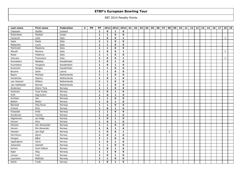| Last name     | First name    | Federation  | $\mathbf{s}$ | PN | PP           |              | 2012 2013 2014 01 |              | 02 | 03   04 | 05 | 06 | 07 | 08           | 09 | $10$ 11 | 12 | 13 | 14 | 15 | 16 | 17 <sup>1</sup> | 18           | 19 |
|---------------|---------------|-------------|--------------|----|--------------|--------------|-------------------|--------------|----|---------|----|----|----|--------------|----|---------|----|----|----|----|----|-----------------|--------------|----|
| Claessen      | Stefán        | Iceland     |              |    | $\mathbf{1}$ | $\mathbf 0$  | $\mathbf{1}$      | $\mathbf 0$  |    |         |    |    |    |              |    |         |    |    |    |    |    |                 |              |    |
| Rubinstein    | Shahaf        | Israel      |              |    | $\mathbf{1}$ | $\mathbf{1}$ | $\mathbf{o}$      | $\mathbf{o}$ |    |         |    |    |    |              |    |         |    |    |    |    |    |                 |              |    |
| Ceracchi      | Lello         | Italy       |              |    | $\mathbf{1}$ | 0            | $\mathbf{o}$      | $\mathbf{1}$ |    |         |    |    |    |              |    |         |    |    |    |    |    |                 | $\mathbf{1}$ |    |
| Isaia         | Paolo         | Italy       |              |    | $\mathbf{1}$ | $\mathbf{1}$ | $\mathbf{o}$      | 0            |    |         |    |    |    |              |    |         |    |    |    |    |    |                 |              |    |
| Malandra      | Lucio         | Italy       |              |    | $\mathbf{1}$ | $\mathbf{1}$ | $\mathbf{o}$      | $\mathbf{o}$ |    |         |    |    |    |              |    |         |    |    |    |    |    |                 |              |    |
| Martinelli    | Massimo       | Italy       |              |    | $\mathbf{1}$ | $\mathbf{1}$ | $\mathbf{o}$      | $\mathbf{o}$ |    |         |    |    |    |              |    |         |    |    |    |    |    |                 |              |    |
| Morelli       | Moreno        | Italy       |              |    | $\mathbf{1}$ | $\mathbf{o}$ | $\mathbf{o}$      | $\mathbf{1}$ |    |         |    |    |    |              |    |         |    |    |    |    |    |                 | $\mathbf{1}$ |    |
| Rossi         | Federico      | Italy       |              |    | $\mathbf{1}$ | $\mathbf{1}$ | $\mathbf{o}$      | $\mathbf{o}$ |    |         |    |    |    |              |    |         |    |    |    |    |    |                 |              |    |
| Vaccaro       | Francesco     | Italy       |              |    | $\mathbf{1}$ | $\mathbf{o}$ | $\mathbf 0$       | $\mathbf{1}$ |    |         |    |    |    |              |    |         |    |    |    |    |    |                 | $\mathbf{1}$ |    |
| Kuznetsov     | Natalya       | Kazakhstan  |              |    | $\mathbf{1}$ | $\mathbf{o}$ | $\mathbf{1}$      | 0            |    |         |    |    |    |              |    |         |    |    |    |    |    |                 |              |    |
| Kuznetsov     | Yevgeniy      | Kazakhstan  |              |    | $\mathbf{1}$ | $\mathbf{o}$ | $\mathbf{1}$      | $\mathbf 0$  |    |         |    |    |    |              |    |         |    |    |    |    |    |                 |              |    |
| Kuzovkin      | Sergey        | Kazakhstan  |              |    | $\mathbf{1}$ | $\mathbf{1}$ | $\mathbf{o}$      | $\mathbf 0$  |    |         |    |    |    |              |    |         |    |    |    |    |    |                 |              |    |
| <b>Bucens</b> | Janis         | Latvia      |              |    | $\mathbf{1}$ | $\mathbf{1}$ | $\mathbf{o}$      | $\mathbf 0$  |    |         |    |    |    |              |    |         |    |    |    |    |    |                 |              |    |
| <b>Baars</b>  | Michael       | Netherlands |              |    | $\mathbf{1}$ | $\mathbf{1}$ | $\mathbf{o}$      | 0            |    |         |    |    |    |              |    |         |    |    |    |    |    |                 |              |    |
| Hendrickx     | Gianny        | Netherlands |              |    | $\mathbf{1}$ | 0            | $\mathbf{1}$      | 0            |    |         |    |    |    |              |    |         |    |    |    |    |    |                 |              |    |
| van Hemert    | Willem        | Netherlands |              |    | $\mathbf{1}$ | 1            | $\mathbf{o}$      | 0            |    |         |    |    |    |              |    |         |    |    |    |    |    |                 |              |    |
| van Kalfsbeek | Reinier       | Netherlands |              |    | $\mathbf{1}$ | $\mathbf{1}$ | $\mathbf{o}$      | 0            |    |         |    |    |    |              |    |         |    |    |    |    |    |                 |              |    |
| Andersen      | Glenn Tore    | Norway      |              |    | $\mathbf{1}$ | $\mathbf{1}$ | $\Omega$          | $\mathbf{o}$ |    |         |    |    |    |              |    |         |    |    |    |    |    |                 |              |    |
| Andresen      | Terje Vestby  | Norway      |              |    | $\mathbf{1}$ | 0            | $\mathbf{1}$      | $\mathbf 0$  |    |         |    |    |    |              |    |         |    |    |    |    |    |                 |              |    |
| Arild         | Dag-Jostein   | Norway      |              |    | $\mathbf{1}$ | 0            | $\mathbf{1}$      | 0            |    |         |    |    |    |              |    |         |    |    |    |    |    |                 |              |    |
| Arntsen       | Jan           | Norway      |              |    | $\mathbf{1}$ | $\mathbf{1}$ | $\mathbf{o}$      | $\mathbf{o}$ |    |         |    |    |    |              |    |         |    |    |    |    |    |                 |              |    |
| Bakken        | Malen         | Norway      |              |    | $\mathbf{1}$ | 0            | $\mathbf{1}$      | $\mathbf 0$  |    |         |    |    |    |              |    |         |    |    |    |    |    |                 |              |    |
| Barstad       | Stig Rune     | Norway      |              |    | $\mathbf{1}$ | $\mathbf{1}$ | $\Omega$          | $\mathbf{o}$ |    |         |    |    |    |              |    |         |    |    |    |    |    |                 |              |    |
| Ersland       | Nina          | Norway      |              |    | $\mathbf{1}$ | $\mathbf 0$  | $\mathbf{1}$      | $\mathbf 0$  |    |         |    |    |    |              |    |         |    |    |    |    |    |                 |              |    |
| Fossedal      | Arild         | Norway      |              |    | $\mathbf{1}$ | $\mathbf{1}$ | $\mathbf 0$       | 0            |    |         |    |    |    |              |    |         |    |    |    |    |    |                 |              |    |
| Gundersen     | Tommy         | Norway      |              |    | $\mathbf{1}$ | 0            | $\mathbf{1}$      | 0            |    |         |    |    |    |              |    |         |    |    |    |    |    |                 |              |    |
| Hagmansen     | Jan Helge     | Norway      |              |    | $\mathbf{1}$ | $\mathbf 0$  | $\mathbf{1}$      | $\mathbf 0$  |    |         |    |    |    |              |    |         |    |    |    |    |    |                 |              |    |
| Hansen        | Alisa         | Norway      |              |    | $\mathbf{1}$ | $\mathbf 0$  | $\mathbf{1}$      | $\mathbf 0$  |    |         |    |    |    |              |    |         |    |    |    |    |    |                 |              |    |
| Hansen        | Jan Alexander | Norway      |              |    | $\mathbf{1}$ | $\mathbf{1}$ | $\mathbf{o}$      | 0            |    |         |    |    |    |              |    |         |    |    |    |    |    |                 |              |    |
| Hansen        | Kim Alexander | Norway      |              |    | $\mathbf{1}$ | 0            | $\mathbf{1}$      | 0            |    |         |    |    |    |              |    |         |    |    |    |    |    |                 |              |    |
| Hansen        | Jan Eigil     | Norway      |              |    | $\mathbf{1}$ | $\mathbf 0$  | $\mathbf{o}$      | $\mathbf{1}$ |    |         |    |    |    | $\mathbf{1}$ |    |         |    |    |    |    |    |                 |              |    |
| Henriksson    | Gøran         | Norway      |              |    | $\mathbf{1}$ | 0            | $\mathbf{1}$      | $\mathbf{o}$ |    |         |    |    |    |              |    |         |    |    |    |    |    |                 |              |    |
| Horgen        | Bård          | Norway      |              |    | $\mathbf{1}$ | $\mathbf{1}$ | $\Omega$          | $\mathbf{o}$ |    |         |    |    |    |              |    |         |    |    |    |    |    |                 |              |    |
| Ingebrigtsen  | Sylvia        | Norway      |              |    | $\mathbf{1}$ | $\mathbf 0$  | $\mathbf{1}$      | $\mathbf 0$  |    |         |    |    |    |              |    |         |    |    |    |    |    |                 |              |    |
| Johansen      | Jeanett       | Norway      |              |    | $\mathbf{1}$ | $\mathbf{1}$ | $\mathbf{o}$      | $\mathbf 0$  |    |         |    |    |    |              |    |         |    |    |    |    |    |                 |              |    |
| Karlsen       | Svein Oddvar  | Norway      |              |    | $\mathbf{1}$ | $\mathbf{o}$ | $\mathbf{1}$      | 0            |    |         |    |    |    |              |    |         |    |    |    |    |    |                 |              |    |
| Kjær          | Stig          | Norway      |              |    | $\mathbf{1}$ | $\mathbf{1}$ | $\mathbf 0$       | 0            |    |         |    |    |    |              |    |         |    |    |    |    |    |                 |              |    |
| Larsson       | Fred          | Norway      |              |    | $\mathbf{1}$ | 0            | $\mathbf{1}$      | $\mathbf 0$  |    |         |    |    |    |              |    |         |    |    |    |    |    |                 |              |    |
| Lauritzen     | Mathias       | Norway      |              |    | $\mathbf{1}$ | $\mathbf{1}$ | $\mathbf 0$       | $\mathbf 0$  |    |         |    |    |    |              |    |         |    |    |    |    |    |                 |              |    |
| Nelvik        | Frode         | Norway      |              |    | $\mathbf{1}$ | $\mathbf{o}$ | $\mathbf{1}$      | $\mathbf{o}$ |    |         |    |    |    |              |    |         |    |    |    |    |    |                 |              |    |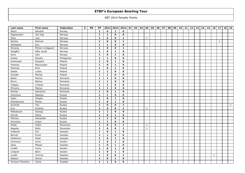| Last name         | First name       | Federation  | $\mathbf{s}$ | PN | PP           |              | 2012 2013 2014 01 |              | 02 | 03 04        | 05 | 06 | 07 | 08 | 09 | $10$ 11 | 12 | 13 | 14 | 15 | 16           | 17 <sup>1</sup> | 18 | 19           |
|-------------------|------------------|-------------|--------------|----|--------------|--------------|-------------------|--------------|----|--------------|----|----|----|----|----|---------|----|----|----|----|--------------|-----------------|----|--------------|
| Nilsen            | Merethe          | Norway      |              |    | $\mathbf{1}$ | $\mathbf{o}$ | $\mathbf{1}$      | $\mathbf 0$  |    |              |    |    |    |    |    |         |    |    |    |    |              |                 |    |              |
| Ragnarsson        | Jon Ingi         | Norway      |              |    | $\mathbf{1}$ | $\mathbf{1}$ | $\mathbf{o}$      | $\mathbf{o}$ |    |              |    |    |    |    |    |         |    |    |    |    |              |                 |    |              |
| Riise             | Lisa             | Norway      |              |    | $\mathbf{1}$ | 0            | $\mathbf{o}$      | $\mathbf{1}$ |    | 1            |    |    |    |    |    |         |    |    |    |    |              |                 |    |              |
| Santos            | Romulo           | Norway      |              |    | $\mathbf{1}$ | $\mathbf 0$  | $\mathbf{o}$      | $\mathbf{1}$ |    |              |    |    |    |    |    |         |    |    |    |    |              | 1               |    |              |
| Stikbakke         | Eva              | Norway      |              |    | $\mathbf{1}$ | $\mathbf{1}$ | $\mathbf{o}$      | 0            |    |              |    |    |    |    |    |         |    |    |    |    |              |                 |    |              |
| Stivang           | Miriam Lindgaard | Norway      |              |    | $\mathbf{1}$ | $\mathbf{o}$ | $\mathbf{o}$      | $\mathbf{1}$ |    | 1            |    |    |    |    |    |         |    |    |    |    |              |                 |    |              |
| Sørgård           | Kåre Jacob       | Norway      |              |    | $\mathbf{1}$ | 0            | $\mathbf{1}$      | 0            |    |              |    |    |    |    |    |         |    |    |    |    |              |                 |    |              |
| Aarre             | John             | Norway      |              |    | $\mathbf{1}$ | $\mathbf 0$  | $\mathbf{1}$      | $\mathbf 0$  |    |              |    |    |    |    |    |         |    |    |    |    |              |                 |    |              |
| Rulete            | Renato           | Philippines |              |    | $\mathbf{1}$ | $\mathbf{1}$ | $\mathbf{o}$      | 0            |    |              |    |    |    |    |    |         |    |    |    |    |              |                 |    |              |
| Korkowski         | Ryszard          | Poland      |              |    | $\mathbf{1}$ | 0            | $\mathbf{1}$      | 0            |    |              |    |    |    |    |    |         |    |    |    |    |              |                 |    |              |
| Polanisz          | Mieczyslaw       | Poland      |              |    | $\mathbf{1}$ | 0            | $\mathbf{1}$      | $\mathbf 0$  |    |              |    |    |    |    |    |         |    |    |    |    |              |                 |    |              |
| Polanisz          | Emil             | Poland      |              |    | $\mathbf{1}$ | 0            | $\mathbf{1}$      | $\mathbf 0$  |    |              |    |    |    |    |    |         |    |    |    |    |              |                 |    |              |
| Slabik            | Lukas            | Poland      |              |    | $\mathbf{1}$ | $\mathbf{1}$ | $\mathbf{o}$      | 0            |    |              |    |    |    |    |    |         |    |    |    |    |              |                 |    |              |
| Suwała            | Marian           | Poland      |              |    | $\mathbf{1}$ | $\mathbf{1}$ | $\mathbf{o}$      | $\mathbf 0$  |    |              |    |    |    |    |    |         |    |    |    |    |              |                 |    |              |
| Balan             | Marius           | Romania     |              |    | $\mathbf{1}$ | $\mathbf{1}$ | $\mathbf{o}$      | $\mathbf 0$  |    |              |    |    |    |    |    |         |    |    |    |    |              |                 |    |              |
| <b>Briciu</b>     | Marius           | Romania     |              |    | $\mathbf{1}$ | $\mathbf{1}$ | $\mathbf{o}$      | $\mathbf{o}$ |    |              |    |    |    |    |    |         |    |    |    |    |              |                 |    |              |
| Calagiu           | Cristian         | Romania     |              |    | $\mathbf{1}$ | $\mathbf{1}$ | $\mathbf{o}$      | $\mathbf{o}$ |    |              |    |    |    |    |    |         |    |    |    |    |              |                 |    |              |
| Piticariu         | Marius           | Romania     |              |    | $\mathbf{1}$ | $\mathbf{1}$ | $\mathbf{o}$      | 0            |    |              |    |    |    |    |    |         |    |    |    |    |              |                 |    |              |
| Romeo             | Ganenoiu         | Romania     |              |    | $\mathbf{1}$ | $\mathbf 0$  | $\mathbf{1}$      | $\mathbf{o}$ |    |              |    |    |    |    |    |         |    |    |    |    |              |                 |    |              |
| Gracheva          | Natalya          | Russia      |              |    | $\mathbf{1}$ | $\mathbf{1}$ | $\mathbf 0$       | $\mathbf 0$  |    |              |    |    |    |    |    |         |    |    |    |    |              |                 |    |              |
| Isaev             | Sergey           | Russia      |              |    | $\mathbf{1}$ | $\mathbf{o}$ | $\mathbf{1}$      | 0            |    |              |    |    |    |    |    |         |    |    |    |    |              |                 |    |              |
| Kharlamova        | Polina           | Russia      |              |    | $\mathbf{1}$ | $\mathbf{o}$ | $\mathbf{1}$      | $\mathbf 0$  |    |              |    |    |    |    |    |         |    |    |    |    |              |                 |    |              |
| Korshak           | Yan              | Russia      |              |    | $\mathbf{1}$ | $\mathbf 0$  | $\mathbf{o}$      | $\mathbf{1}$ |    |              |    |    |    |    |    |         |    |    |    |    |              |                 |    | $\mathbf{1}$ |
| Kryl              | Kristina         | Russia      |              |    | $\mathbf{1}$ | $\mathbf 0$  | $\mathbf{o}$      | $\mathbf{1}$ |    | $\mathbf{1}$ |    |    |    |    |    |         |    |    |    |    |              |                 |    |              |
| Matsakyan         | Georgy           | Russia      |              |    | $\mathbf{1}$ | $\mathbf{1}$ | $\mathbf{o}$      | $\mathbf 0$  |    |              |    |    |    |    |    |         |    |    |    |    |              |                 |    |              |
| Pernat            | Sofya            | Russia      |              |    | $\mathbf{1}$ | $\mathbf 0$  | $\mathbf{1}$      | $\mathbf 0$  |    |              |    |    |    |    |    |         |    |    |    |    |              |                 |    |              |
| Plechev           | Alexander        | Russia      |              |    | $\mathbf{1}$ | $\mathbf{1}$ | $\mathbf{o}$      | 0            |    |              |    |    |    |    |    |         |    |    |    |    |              |                 |    |              |
| Pronchev          | Anton            | Russia      |              |    | $\mathbf{1}$ | $\mathbf{1}$ | $\mathbf{o}$      | $\mathbf{o}$ |    |              |    |    |    |    |    |         |    |    |    |    |              |                 |    |              |
| Hlede             | Joško            | Slovenien   |              |    | $\mathbf{1}$ | $\mathbf 0$  | $\mathbf{o}$      | $\mathbf{1}$ |    | 1            |    |    |    |    |    |         |    |    |    |    |              |                 |    |              |
| Nagode            | Božo             | Slovenien   |              |    | $\mathbf{1}$ | 0            | $\mathbf{o}$      | $\mathbf{1}$ |    | $\mathbf{1}$ |    |    |    |    |    |         |    |    |    |    |              |                 |    |              |
| Andersin          | Eric             | Sweden      |              |    | $\mathbf{1}$ | $\mathbf 0$  | $\mathbf{1}$      | $\mathbf 0$  |    |              |    |    |    |    |    |         |    |    |    |    |              |                 |    |              |
| Berndt            | Ernst            | Sweden      |              |    | $\mathbf{1}$ | $\mathbf{1}$ | $\mathbf{o}$      | 0            |    |              |    |    |    |    |    |         |    |    |    |    |              |                 |    |              |
| Hellstrom         | Peter            | Sweden      |              |    | $\mathbf{1}$ | $\mathbf{o}$ | $\mathbf{1}$      | $\mathbf{o}$ |    |              |    |    |    |    |    |         |    |    |    |    |              |                 |    |              |
| Johansson         | Jenny            | Sweden      |              |    | $\mathbf{1}$ | $\mathbf 0$  | $\mathbf{1}$      | $\mathbf 0$  |    |              |    |    |    |    |    |         |    |    |    |    |              |                 |    |              |
| Jäine             | Mikael           | Sweden      |              |    | $\mathbf{1}$ | $\mathbf 0$  | $\mathbf{1}$      | $\mathbf 0$  |    |              |    |    |    |    |    |         |    |    |    |    |              |                 |    |              |
| Lindahl           | Fanny            | Sweden      |              |    | $\mathbf{1}$ | $\mathbf{o}$ | $\mathbf{1}$      | $\mathbf{o}$ |    |              |    |    |    |    |    |         |    |    |    |    |              |                 |    |              |
| Lindqvist         | Björn            | Sweden      |              |    | $\mathbf{1}$ | $\mathbf 0$  | $\mathbf{1}$      | $\mathbf 0$  |    |              |    |    |    |    |    |         |    |    |    |    |              |                 |    |              |
| Lundh             | Tommy            | Sweden      |              |    | $\mathbf{1}$ | $\mathbf 0$  | $\mathbf{o}$      | $\mathbf 1$  |    |              |    |    |    |    |    |         |    |    |    |    | $\mathbf{1}$ |                 |    |              |
| Nilsson           | Simon            | Sweden      |              |    | $\mathbf{1}$ | $\mathbf{o}$ | $\mathbf{1}$      | $\mathbf 0$  |    |              |    |    |    |    |    |         |    |    |    |    |              |                 |    |              |
| Persson Planefors | Joline           | Sweden      |              |    | $\mathbf{1}$ | 1            | $\mathbf 0$       | $\mathbf{o}$ |    |              |    |    |    |    |    |         |    |    |    |    |              |                 |    |              |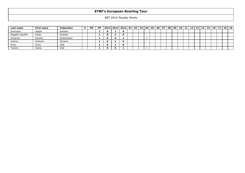| Last name       | First name | Federation  | -5 | <b>PN</b> | <b>PP</b> |  | 2012   2013   2014   01   02   03   04   05   06   07   08 |  |  |  |  | 09 | 10 <sup>1</sup> | 11 | 12 <sup>12</sup> | 13 <sub>1</sub> | 14 | 15 | 16 | 17 <sub>1</sub> | 18 I | 19 |
|-----------------|------------|-------------|----|-----------|-----------|--|------------------------------------------------------------|--|--|--|--|----|-----------------|----|------------------|-----------------|----|----|----|-----------------|------|----|
| Svensson        | Jesper     | Sweden      |    |           |           |  | 0                                                          |  |  |  |  |    |                 |    |                  |                 |    |    |    |                 |      |    |
| Wagelin Gauffin | Claes      | Sweden      |    |           |           |  | 0                                                          |  |  |  |  |    |                 |    |                  |                 |    |    |    |                 |      |    |
| Ancarani        | Sandro     | Switzerland |    |           |           |  |                                                            |  |  |  |  |    |                 |    |                  |                 |    |    |    |                 |      |    |
| Andrey          | Andreev    | Ukraine     |    |           |           |  | O                                                          |  |  |  |  |    |                 |    |                  |                 |    |    |    |                 |      |    |
| Forry           | Chris      | USA         |    |           |           |  | $\Omega$                                                   |  |  |  |  |    |                 |    |                  |                 |    |    |    |                 |      |    |
| Tisdom          | Dante      | USA         |    |           |           |  |                                                            |  |  |  |  |    |                 |    |                  |                 |    |    |    |                 |      |    |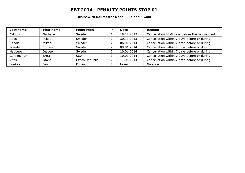#### **Brunswick Ballmaster Open / Finland / Gold**

| Last name    | First name   | Federation     | P | Date       | Reason                                       |
|--------------|--------------|----------------|---|------------|----------------------------------------------|
| Asklund      | Nathalie     | Sweden         |   | 18.12.2013 | Cancellation 30-8 days before the tournament |
| Roos         | Mikael       | Sweden         | ∠ | 30.12.2013 | Cancellation within 7 days before or during  |
| Kanold       | Mikael       | Sweden         |   | 06.01.2014 | Cancellation within 7 days before or during  |
| Wendel       | Tommv        | Sweden         |   | 09.01.2014 | Cancellation within 7 days before or during  |
| Hagberg      | Jesperg      | Sweden         |   | 10.01.2014 | Cancellation within 7 days before or during  |
| Cunningham   | <b>Brett</b> | <b>USA</b>     |   | 10.01.2014 | Cancellation within 7 days before or during  |
| <b>Vitek</b> | David        | Czech Republic |   | 11.01.2014 | Cancellation within 7 days before or during  |
| Luukka       | Jani         | Finland        |   | None       | No show                                      |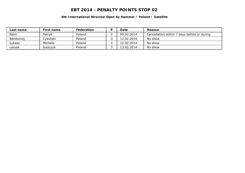#### **8th International Wroclaw Open by Hammer / Poland / Satellite**

| Last name    | First name | <b>Federation</b> | ם | Date       | Reason                                      |
|--------------|------------|-------------------|---|------------|---------------------------------------------|
| <b>Bakir</b> | Patryk     | Poland            |   | 05.02.2014 | Cancellation within 7 days before or during |
| Bartłomiej   | Cywiński   | Poland            |   | 12.02.2014 | No show                                     |
| Łukasz       | Michalik   | Poland            |   | 12.02.2014 | No show                                     |
| _eszek       | Juszczyk   | Poland            |   | 13.02.2014 | No show                                     |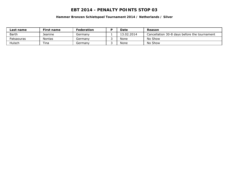**Hammer Bronzen Schietspoel Tournament 2014 / Netherlands / Silver**

| Last name    | First name | Federation | D | Date       | Reason                                       |
|--------------|------------|------------|---|------------|----------------------------------------------|
| <b>Barth</b> | Jeanine    | Germanv    |   | 13.02.2014 | Cancellation 30-8 days before the tournament |
| Patsaouras   | Nontas     | Germanv    |   | None       | No Show                                      |
| Hulsch       | Tina       | Germanv    |   | None       | No Show                                      |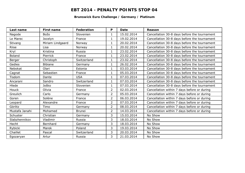#### **Brunswick Euro Challenge / Germany / Platinum**

| Last name      | <b>First name</b> | Federation    | P              | Date       | Reason                                       |
|----------------|-------------------|---------------|----------------|------------|----------------------------------------------|
| Nagode         | Božo              | Slovenien     | $\mathbf{1}$   | 15.02.2014 | Cancellation 30-8 days before the tournament |
| Le Marec       | Jocelyn           | France        | $\mathbf{1}$   | 19.02.2014 | Cancellation 30-8 days before the tournament |
| Stivang        | Miriam Lindgaard  | Norway        | $\mathbf{1}$   | 20.02.2014 | Cancellation 30-8 days before the tournament |
| <b>Riise</b>   | Lisa              | Norway        | $\mathbf{1}$   | 20.02.2014 | Cancellation 30-8 days before the tournament |
| Kryl           | Kristina          | Russia        | $\mathbf 1$    | 23.02.2014 | Cancellation 30-8 days before the tournament |
| <b>Boland</b>  | Pierrick          | France        | $\mathbf{1}$   | 23.02.2014 | Cancellation 30-8 days before the tournament |
| Berger         | Christoph         | Switzerland   | $\mathbf{1}$   | 23.02.2014 | Cancellation 30-8 days before the tournament |
| Gedies         | <b>Bibiane</b>    | Germany       | 1              | 26.02.2014 | Cancellation 30-8 days before the tournament |
| Nebokat        | Olari             | Estonia       | $\mathbf{1}$   | 03.03.2014 | Cancellation 30-8 days before the tournament |
| Cagnat         | Sebastien         | France        | $\mathbf{1}$   | 05.03.2014 | Cancellation 30-8 days before the tournament |
| Tisdom         | Dante             | <b>USA</b>    | 1              | 07.03.2014 | Cancellation 30-8 days before the tournament |
| Ancarani       | Sandro            | Switzerland   | 1              | 07.03.2014 | Cancellation 30-8 days before the tournament |
| Hlede          | Joško             | Slovenien     | $\mathbf{1}$   | 07.03.2014 | Cancellation 30-8 days before the tournament |
| Houck          | Olivia            | France        | $\overline{2}$ | 02.03.2014 | Cancellation within 7 days before or during  |
| Greulich       | Carlo             | Germany       | $\overline{2}$ | 05.03.2014 | Cancellation within 7 days before or during  |
| Goren          | Solène            | France        | $\overline{2}$ | 06.03.2014 | Cancellation within 7 days before or during  |
| Leopard        | Alexandre         | France        | $\overline{2}$ | 07.03.2014 | Cancellation within 7 days before or during  |
| Görlitz        | Timo              | Germany       | $\overline{2}$ | 08.03.2014 | Cancellation within 7 days before or during  |
| Mustafa Janahi | Mohamed           | <b>Brunei</b> | $\overline{2}$ | 14.03.2014 | Cancellation within 7 days before or during  |
| Schuster       | Christian         | Germany       | 3              | 15.03.2014 | No Show                                      |
| Slabzhennikov  | Vladimir          | Russia        | 3              | 18.03.2014 | No Show                                      |
| Hecht          | Bernhard          | Germany       | 3              | 18.03.2014 | No Show                                      |
| Rybicki        | Marek             | Poland        | 3              | 19.03.2014 | No Show                                      |
| Chaillet       | Pascal            | Switzerland   | 3              | 20.03.2014 | No Show                                      |
| Egozaryan      | Artur             | Russia        | 3              | 21.03.2014 | No Show                                      |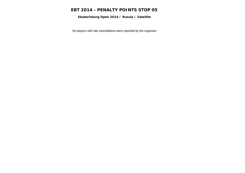**Ekaterinburg Open 2014 / Russia / Satellite**

No players with late cancellations were reported by the organizer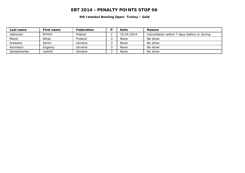**9th Istanbul Bowling Open/ Turkey / Gold**

| Last name   | First name | Federation | D | Date       | Reason                                      |
|-------------|------------|------------|---|------------|---------------------------------------------|
| Jablonski   | Janusz     | Poland     |   | 19.04.2014 | Cancellation within 7 days before or during |
| Manis       | Nihat      | Finland    |   | None       | No show                                     |
| Arakelov    | Serhii     | Ukraine    |   | None       | No show                                     |
| Karmazin    | Evgeniy    | Ukraine    |   | None       | No show                                     |
| Gerasimenko | Leonid     | Ukraine    |   | None       | No show                                     |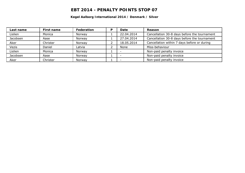#### **Kegel Aalborg International 2014 / Denmark / Silver**

| Last name | First name | Federation | P | Date       | Reason                                       |
|-----------|------------|------------|---|------------|----------------------------------------------|
| Lislien   | Monica     | Norway     |   | 22.04.2014 | Cancellation 30-8 days before the tournament |
| Jacobsen  | Aase       | Norway     |   | 27.04.2014 | Cancellation 30-8 days before the tournament |
| Aker      | Christer   | Norway     |   | 18.05.2014 | Cancellation within 7 days before or during  |
| Vezis     | Daniel     | Latvia     |   | None       | Miss-behaviour                               |
| Lislien   | Monica     | Norway     |   |            | Non-paid penalty invoice                     |
| Jacobsen  | Aase       | Norway     |   |            | Non-paid penalty invoice                     |
| Aker      | Christer   | Norway     |   |            | Non-paid penalty invoice                     |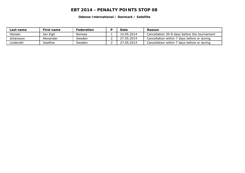**Odense International / Denmark / Satellite**

| Last name     | First name | Federation | Date       | Reason                                       |
|---------------|------------|------------|------------|----------------------------------------------|
| <b>Hansen</b> | Jan Eigil  | Norway     | 14.05.2014 | Cancellation 30-8 days before the tournament |
| Johansson     | Alexander  | Sweden     | 27.05.2014 | Cancellation within 7 days before or during  |
| Linderoth     | Josefine   | Sweden     | 27.05.2014 | Cancellation within 7 days before or during  |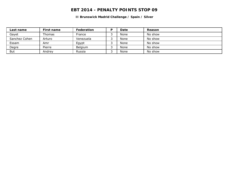**II Brunswick Madrid Challenge / Spain / Silver**

| Last name     | First name | <b>Federation</b> | D | Date | Reason  |
|---------------|------------|-------------------|---|------|---------|
| Gayet         | Thomas     | France            |   | None | No show |
| Sanchez Cohen | Arturo     | Venezuela         |   | None | No show |
| Essam         | Amr        | Egypt             |   | None | No show |
| Degre         | Pierre     | Belgium           |   | None | No show |
| But           | Andrev     | Russia            |   | None | No show |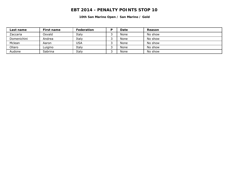**10th San Marino Open / San Marino / Gold**

| Last name   | First name | Federation | D | Date | Reason  |
|-------------|------------|------------|---|------|---------|
| Zaccaria    | Osvald     | Italy      |   | None | No show |
| Domenichini | Andrea     | Italy      |   | None | No show |
| Mclean      | Aaron      | USA        |   | None | No show |
| Oliaro      | Luigino    | Italy      |   | None | No show |
| Audone      | Sabrina    | Italy      |   | None | No show |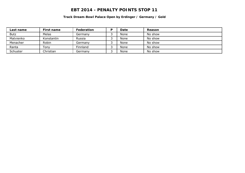**Track Dream-Bowl Palace Open by Erdinger / Germany / Gold**

| Last name   | First name | <b>Federation</b> | D | Date | Reason  |
|-------------|------------|-------------------|---|------|---------|
| <b>Butz</b> | Melas      | Germanv           |   | None | No show |
| Matvienko   | Konstantin | Russia            |   | None | No show |
| Menacher    | Robin      | Germanv           | ت | None | No show |
| Ranta       | Tonv       | Finnland          |   | None | No show |
| Schuster    | Christian  | Germanv           |   | None | No show |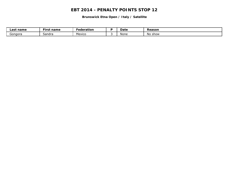**Brunswick Etna Open / Italy / Satellite**

| Last name | --<br>First name | - -<br>Federation | Date | Reason            |
|-----------|------------------|-------------------|------|-------------------|
| Gongora   | Sandra           | Mexico            | None | <b>No</b><br>show |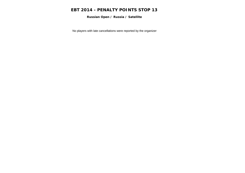**Russian Open / Russia / Satellite**

No players with late cancellations were reported by the organizer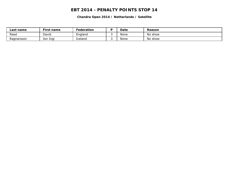**Chandra Open 2014 / Netherlands / Satellite**

| _ast<br>name | First name  | Federation |   | Date | Reason  |
|--------------|-------------|------------|---|------|---------|
| Reea         | David       | England    |   | None | No show |
| Ragnarsson   | Ingi<br>Jon | iceland    | ـ | None | No show |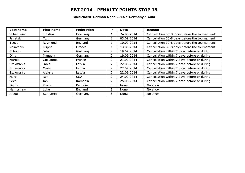#### **QubicaAMF German Open 2014 / Germany / Gold**

| Last name        | First name     | <b>Federation</b> | P              | Date       | Reason                                       |
|------------------|----------------|-------------------|----------------|------------|----------------------------------------------|
| Schiemenz        | Torsten        | Germany           |                | 24.08.2014 | Cancellation 30-8 days before the tournament |
| Janetzki         | Tom            | Germany           |                | 03.09.2014 | Cancellation 30-8 days before the tournament |
| Teece            | Raymond        | England           |                | 10.09.2014 | Cancellation 30-8 days before the tournament |
| Valavanis        | Filippa        | Greece            |                | 13.09.2014 | Cancellation 30-8 days before the tournament |
| Schoon           | <b>Jens</b>    | Germany           | 2              | 19.09.2014 | Cancellation within 7 days before or during  |
| Öing             | Manuela        | Germany           | $\overline{2}$ | 19.09.2014 | Cancellation within 7 days before or during  |
| Marois           | Guillaume      | France            | 2              | 21.09.2014 | Cancellation within 7 days before or during  |
| <b>Stokmanis</b> | Janis          | Latvia            | 2              | 22.09.2014 | Cancellation within 7 days before or during  |
| Stokmanis        | Maris          | Latvia            | 2              | 22.09.2014 | Cancellation within 7 days before or during  |
| <b>Stokmanis</b> | <b>Aleksis</b> | Latvia            | 2              | 22.09.2014 | Cancellation within 7 days before or during  |
| Hurt             | Ron            | <b>USA</b>        | 2              | 24.09.2014 | Cancellation within 7 days before or during  |
| Grecu            | Ion            | Romania           | 2              | 25.09.2014 | Cancellation within 7 days before or during  |
| Degre            | Pierre         | Belgium           | 3              | None       | No show                                      |
| Hampshaw         | Luke           | England           | 3              | None       | No show                                      |
| Riegel           | Benjamin       | Germany           | 3              | None       | No show                                      |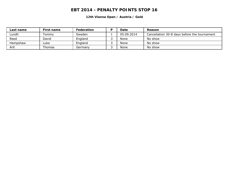**12th Vianna Open / Austria / Gold**

| Last name | First name | Federation | D | Date       | Reason                                       |
|-----------|------------|------------|---|------------|----------------------------------------------|
| _undh     | .cmmv      | Sweden     |   | 05.09.2014 | Cancellation 30-8 days before the tournament |
| Reed      | David      | England    |   | None       | No show                                      |
| Hampshaw  | Lukel      | England    |   | None       | No show                                      |
| Arlt      | Thomas     | Germanv    |   | None       | No show                                      |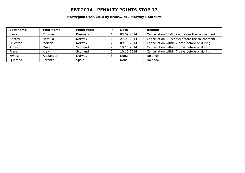#### **Norwegian Open 2014 ny Brunswick / Norway / Satellite**

| Last name | First name | Federation | P | Date       | Reason                                       |
|-----------|------------|------------|---|------------|----------------------------------------------|
| Larsen    | Thomas     | Denmark    |   | 03.09.2014 | Cancellation 30-8 days before the tournament |
| Santos    | Romulo     | Norway     |   | 27.09.2014 | Cancellation 30-8 days before the tournament |
| Hillestad | Morten     | Norway     |   | 09.10.2014 | Cancellation within 7 days before or during  |
| Angus     | David      | Scotland   |   | 10.10.2014 | Cancellation within 7 days before or during  |
| Fraser    | Alex       | Scotland   |   | 10.10.2014 | Cancellation within 7 days before or during  |
| Myhre     | Alexander  | Norway     |   | None       | No show                                      |
| Quereda   | Lorenzo    | Spain      | ت | None       | No show                                      |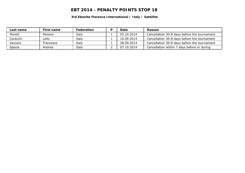**3rd Ebonite Florence International / Italy / Satellite**

| Last name | First name | <b>Federation</b> | Date       | Reason                                       |
|-----------|------------|-------------------|------------|----------------------------------------------|
| Morelli   | Moreno     | Italy             | 03.10.2014 | Cancellation 30-8 days before the tournament |
| Ceracchi  | _ello      | Italy             | 16,09,2014 | Cancellation 30-8 days before the tournament |
| Vaccaro   | Francesco  | Italy             | 28.09.2014 | Cancellation 30-8 days before the tournament |
| Spezia    | Andrea     | Italy             | 07.10.2014 | Cancellation within 7 days before or during  |